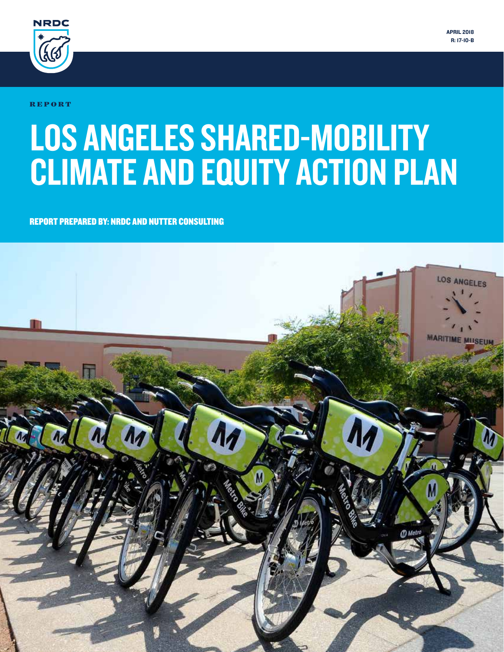

R E P O R T

# LOS ANGELES SHARED-MOBILITY CLIMATE AND EQUITY ACTION PLAN

REPORT PREPARED BY: NRDC AND NUTTER CONSULTING

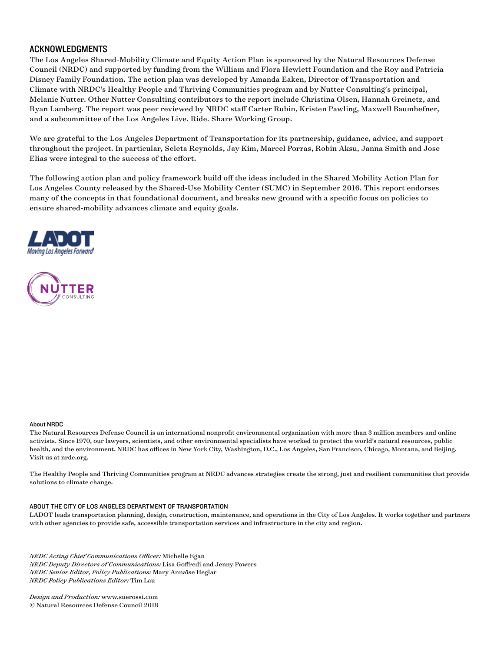#### ACKNOWLEDGMENTS

The Los Angeles Shared-Mobility Climate and Equity Action Plan is sponsored by the Natural Resources Defense Council (NRDC) and supported by funding from the William and Flora Hewlett Foundation and the Roy and Patricia Disney Family Foundation. The action plan was developed by Amanda Eaken, Director of Transportation and Climate with NRDC's Healthy People and Thriving Communities program and by Nutter Consulting's principal, Melanie Nutter. Other Nutter Consulting contributors to the report include Christina Olsen, Hannah Greinetz, and Ryan Lamberg. The report was peer reviewed by NRDC staff Carter Rubin, Kristen Pawling, Maxwell Baumhefner, and a subcommittee of the Los Angeles Live. Ride. Share Working Group.

We are grateful to the Los Angeles Department of Transportation for its partnership, guidance, advice, and support throughout the project. In particular, Seleta Reynolds, Jay Kim, Marcel Porras, Robin Aksu, Janna Smith and Jose Elias were integral to the success of the effort.

The following action plan and policy framework build off the ideas included in the Shared Mobility Action Plan for Los Angeles County released by the Shared-Use Mobility Center (SUMC) in September 2016. This report endorses many of the concepts in that foundational document, and breaks new ground with a specific focus on policies to ensure shared-mobility advances climate and equity goals.





#### About NRDC

The Natural Resources Defense Council is an international nonprofit environmental organization with more than 3 million members and online activists. Since 1970, our lawyers, scientists, and other environmental specialists have worked to protect the world's natural resources, public health, and the environment. NRDC has offices in New York City, Washington, D.C., Los Angeles, San Francisco, Chicago, Montana, and Beijing. Visit us at nrdc.org.

The Healthy People and Thriving Communities program at NRDC advances strategies create the strong, just and resilient communities that provide solutions to climate change.

#### ABOUT THE CITY OF LOS ANGELES DEPARTMENT OF TRANSPORTATION

LADOT leads transportation planning, design, construction, maintenance, and operations in the City of Los Angeles. It works together and partners with other agencies to provide safe, accessible transportation services and infrastructure in the city and region.

*NRDC Acting Chief Communications Officer:* Michelle Egan *NRDC Deputy Directors of Communications:* Lisa Goffredi and Jenny Powers *NRDC Senior Editor, Policy Publications:* Mary Annaïse Heglar *NRDC Policy Publications Editor:* Tim Lau

*Design and Production:* www.suerossi.com © Natural Resources Defense Council 2018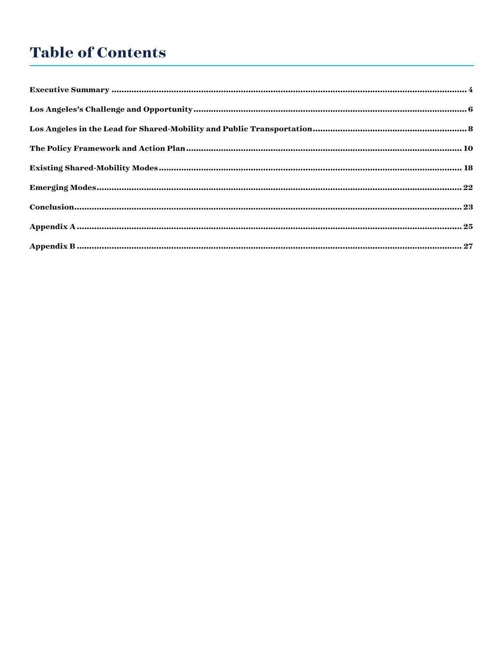## **Table of Contents**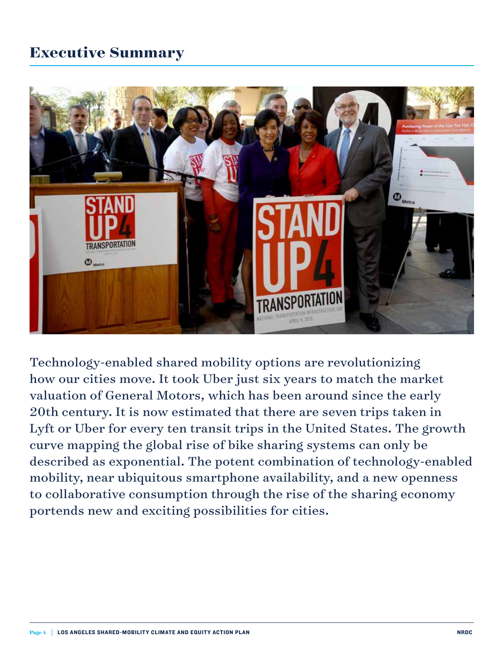## **Executive Summary**



Technology-enabled shared mobility options are revolutionizing how our cities move. It took Uber just six years to match the market valuation of General Motors, which has been around since the early 20th century. It is now estimated that there are seven trips taken in Lyft or Uber for every ten transit trips in the United States. The growth curve mapping the global rise of bike sharing systems can only be described as exponential. The potent combination of technology-enabled mobility, near ubiquitous smartphone availability, and a new openness to collaborative consumption through the rise of the sharing economy portends new and exciting possibilities for cities.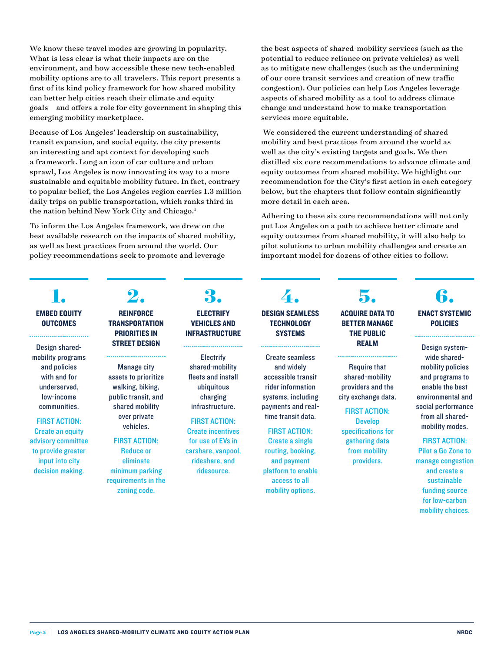We know these travel modes are growing in popularity. What is less clear is what their impacts are on the environment, and how accessible these new tech-enabled mobility options are to all travelers. This report presents a first of its kind policy framework for how shared mobility can better help cities reach their climate and equity goals—and offers a role for city government in shaping this emerging mobility marketplace.

Because of Los Angeles' leadership on sustainability, transit expansion, and social equity, the city presents an interesting and apt context for developing such a framework. Long an icon of car culture and urban sprawl, Los Angeles is now innovating its way to a more sustainable and equitable mobility future. In fact, contrary to popular belief, the Los Angeles region carries 1.3 million daily trips on public transportation, which ranks third in the nation behind New York City and Chicago.<sup>1</sup>

To inform the Los Angeles framework, we drew on the best available research on the impacts of shared mobility, as well as best practices from around the world. Our policy recommendations seek to promote and leverage

**1.** EMBED EQUITY **OUTCOMES** 

Design sharedmobility programs and policies with and for underserved, low-income communities.

FIRST ACTION: Create an equity advisory committee to provide greater input into city decision making.

## **2. REINFORCE**

#### **TRANSPORTATION** PRIORITIES IN STREET DESIGN

Manage city assets to prioritize walking, biking, public transit, and shared mobility over private vehicles.

#### FIRST ACTION:

Reduce or eliminate minimum parking requirements in the zoning code.

## **3.**

**ELECTRIFY** VEHICLES AND INFRASTRUCTURE

**Electrify** shared-mobility fleets and install ubiquitous charging infrastructure.

#### FIRST ACTION:

Create incentives for use of EVs in carshare, vanpool, rideshare, and ridesource.

the best aspects of shared-mobility services (such as the potential to reduce reliance on private vehicles) as well as to mitigate new challenges (such as the undermining of our core transit services and creation of new traffic congestion). Our policies can help Los Angeles leverage aspects of shared mobility as a tool to address climate change and understand how to make transportation services more equitable.

 We considered the current understanding of shared mobility and best practices from around the world as well as the city's existing targets and goals. We then distilled six core recommendations to advance climate and equity outcomes from shared mobility. We highlight our recommendation for the City's first action in each category below, but the chapters that follow contain significantly more detail in each area.

Adhering to these six core recommendations will not only put Los Angeles on a path to achieve better climate and equity outcomes from shared mobility, it will also help to pilot solutions to urban mobility challenges and create an important model for dozens of other cities to follow.

## **4.** DESIGN SEAMLESS

**TECHNOLOGY SYSTEMS** 

Create seamless and widely accessible transit rider information systems, including payments and realtime transit data.

#### FIRST ACTION:

Create a single routing, booking, and payment platform to enable access to all mobility options.

## **5.** ACQUIRE DATA TO

#### BETTER MANAGE THE PUBLIC REALM

Require that shared-mobility providers and the city exchange data.

#### FIRST ACTION: Develop specifications for

gathering data from mobility providers.

## **6.** ENACT SYSTEMIC

## POLICIES

Design systemwide sharedmobility policies and programs to enable the best environmental and social performance from all sharedmobility modes.

#### FIRST ACTION:

Pilot a Go Zone to manage congestion and create a sustainable funding source for low-carbon mobility choices.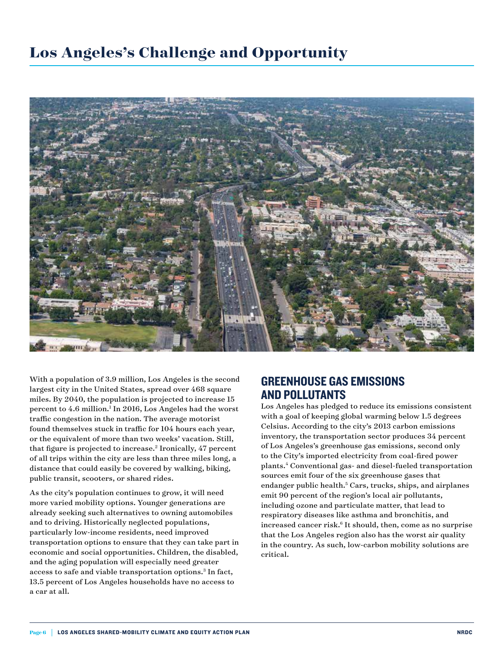

With a population of 3.9 million, Los Angeles is the second largest city in the United States, spread over 468 square miles. By 2040, the population is projected to increase 15 percent to 4.6 million.<sup>1</sup> In 2016, Los Angeles had the worst traffic congestion in the nation. The average motorist found themselves stuck in traffic for 104 hours each year, or the equivalent of more than two weeks' vacation. Still, that figure is projected to increase.<sup>2</sup> Ironically, 47 percent of all trips within the city are less than three miles long, a distance that could easily be covered by walking, biking, public transit, scooters, or shared rides.

As the city's population continues to grow, it will need more varied mobility options. Younger generations are already seeking such alternatives to owning automobiles and to driving. Historically neglected populations, particularly low-income residents, need improved transportation options to ensure that they can take part in economic and social opportunities. Children, the disabled, and the aging population will especially need greater access to safe and viable transportation options.<sup>3</sup> In fact, 13.5 percent of Los Angeles households have no access to a car at all.

## GREENHOUSE GAS EMISSIONS AND POLLUTANTS

Los Angeles has pledged to reduce its emissions consistent with a goal of keeping global warming below 1.5 degrees Celsius. According to the city's 2013 carbon emissions inventory, the transportation sector produces 34 percent of Los Angeles's greenhouse gas emissions, second only to the City's imported electricity from coal-fired power plants.4 Conventional gas- and diesel-fueled transportation sources emit four of the six greenhouse gases that endanger public health.<sup>5</sup> Cars, trucks, ships, and airplanes emit 90 percent of the region's local air pollutants, including ozone and particulate matter, that lead to respiratory diseases like asthma and bronchitis, and increased cancer risk.<sup>6</sup> It should, then, come as no surprise that the Los Angeles region also has the worst air quality in the country. As such, low-carbon mobility solutions are critical.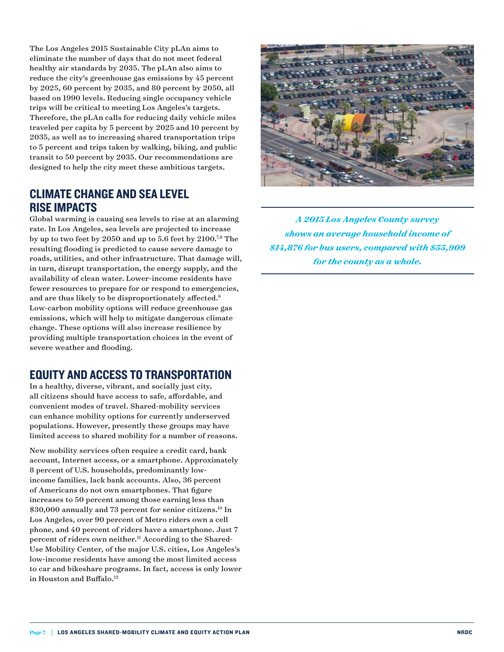The Los Angeles 2015 Sustainable City pLAn aims to eliminate the number of days that do not meet federal healthy air standards by 2035. The pLAn also aims to reduce the city's greenhouse gas emissions by 45 percent by 2025, 60 percent by 2035, and 80 percent by 2050, all based on 1990 levels. Reducing single occupancy vehicle trips will be critical to meeting Los Angeles's targets. Therefore, the pLAn calls for reducing daily vehicle miles traveled per capita by 5 percent by 2025 and 10 percent by 2035, as well as to increasing shared transportation trips to 5 percent and trips taken by walking, biking, and public transit to 50 percent by 2035. Our recommendations are designed to help the city meet these ambitious targets.

## CLIMATE CHANGE AND SEA LEVEL RISE IMPACTS

Global warming is causing sea levels to rise at an alarming rate. In Los Angeles, sea levels are projected to increase by up to two feet by 2050 and up to 5.6 feet by  $2100^{7,8}$  The resulting flooding is predicted to cause severe damage to roads, utilities, and other infrastructure. That damage will, in turn, disrupt transportation, the energy supply, and the availability of clean water. Lower-income residents have fewer resources to prepare for or respond to emergencies, and are thus likely to be disproportionately affected.<sup>9</sup> Low-carbon mobility options will reduce greenhouse gas emissions, which will help to mitigate dangerous climate change. These options will also increase resilience by providing multiple transportation choices in the event of severe weather and flooding.

## EQUITY AND ACCESS TO TRANSPORTATION

In a healthy, diverse, vibrant, and socially just city, all citizens should have access to safe, affordable, and convenient modes of travel. Shared-mobility services can enhance mobility options for currently underserved populations. However, presently these groups may have limited access to shared mobility for a number of reasons.

New mobility services often require a credit card, bank account, Internet access, or a smartphone. Approximately 8 percent of U.S. households, predominantly lowincome families, lack bank accounts. Also, 36 percent of Americans do not own smartphones. That figure increases to 50 percent among those earning less than \$30,000 annually and 73 percent for senior citizens.10 In Los Angeles, over 90 percent of Metro riders own a cell phone, and 40 percent of riders have a smartphone. Just 7 percent of riders own neither.<sup>11</sup> According to the Shared-Use Mobility Center, of the major U.S. cities, Los Angeles's low-income residents have among the most limited access to car and bikeshare programs. In fact, access is only lower in Houston and Buffalo.<sup>12</sup>



*A 2015 Los Angeles County survey shows an average household income of \$14,876 for bus users, compared with \$55,909 for the county as a whole.*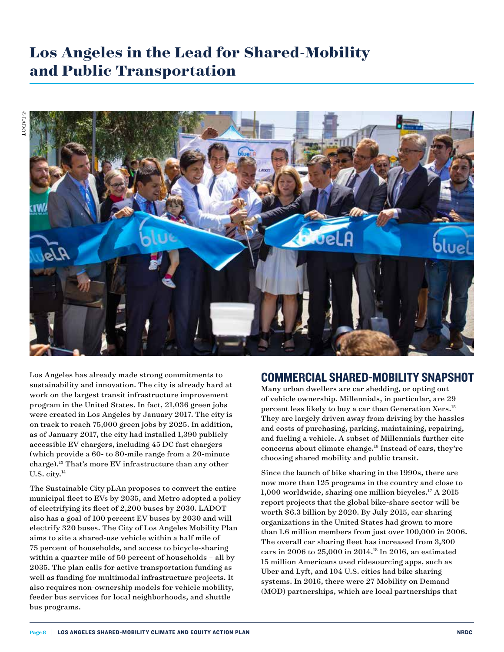## **Los Angeles in the Lead for Shared-Mobility and Public Transportation**



Los Angeles has already made strong commitments to sustainability and innovation. The city is already hard at work on the largest transit infrastructure improvement program in the United States. In fact, 21,036 green jobs were created in Los Angeles by January 2017. The city is on track to reach 75,000 green jobs by 2025. In addition, as of January 2017, the city had installed 1,390 publicly accessible EV chargers, including 45 DC fast chargers (which provide a 60- to 80-mile range from a 20-minute charge).13 That's more EV infrastructure than any other U.S. city.<sup>14</sup>

The Sustainable City pLAn proposes to convert the entire municipal fleet to EVs by 2035, and Metro adopted a policy of electrifying its fleet of 2,200 buses by 2030. LADOT also has a goal of 100 percent EV buses by 2030 and will electrify 320 buses. The City of Los Angeles Mobility Plan aims to site a shared-use vehicle within a half mile of 75 percent of households, and access to bicycle-sharing within a quarter mile of 50 percent of households – all by 2035. The plan calls for active transportation funding as well as funding for multimodal infrastructure projects. It also requires non-ownership models for vehicle mobility, feeder bus services for local neighborhoods, and shuttle bus programs.

#### COMMERCIAL SHARED-MOBILITY SNAPSHOT

Many urban dwellers are car shedding, or opting out of vehicle ownership. Millennials, in particular, are 29 percent less likely to buy a car than Generation Xers.15 They are largely driven away from driving by the hassles and costs of purchasing, parking, maintaining, repairing, and fueling a vehicle. A subset of Millennials further cite concerns about climate change.16 Instead of cars, they're choosing shared mobility and public transit.

Since the launch of bike sharing in the 1990s, there are now more than 125 programs in the country and close to 1,000 worldwide, sharing one million bicycles.<sup>17</sup> A 2015 report projects that the global bike-share sector will be worth \$6.3 billion by 2020. By July 2015, car sharing organizations in the United States had grown to more than 1.6 million members from just over 100,000 in 2006. The overall car sharing fleet has increased from 3,300 cars in 2006 to 25,000 in 2014.18 In 2016, an estimated 15 million Americans used ridesourcing apps, such as Uber and Lyft, and 104 U.S. cities had bike sharing systems. In 2016, there were 27 Mobility on Demand (MOD) partnerships, which are local partnerships that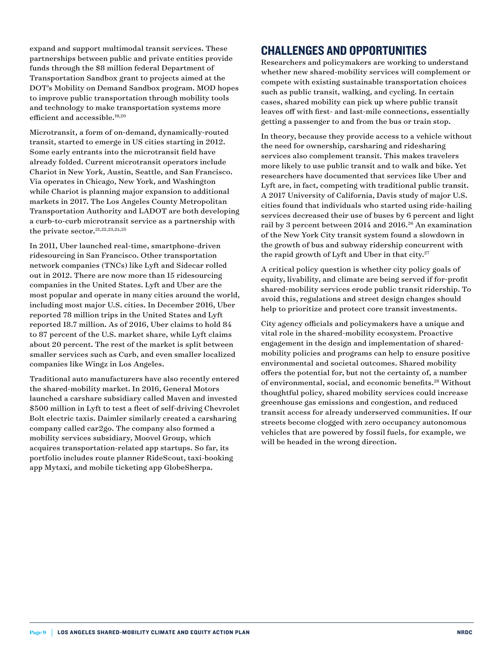expand and support multimodal transit services. These partnerships between public and private entities provide funds through the \$8 million federal Department of Transportation Sandbox grant to projects aimed at the DOT's Mobility on Demand Sandbox program. MOD hopes to improve public transportation through mobility tools and technology to make transportation systems more efficient and accessible.19,20

Microtransit, a form of on-demand, dynamically-routed transit, started to emerge in US cities starting in 2012. Some early entrants into the microtransit field have already folded. Current microtransit operators include Chariot in New York, Austin, Seattle, and San Francisco. Via operates in Chicago, New York, and Washington while Chariot is planning major expansion to additional markets in 2017. The Los Angeles County Metropolitan Transportation Authority and LADOT are both developing a curb-to-curb microtransit service as a partnership with the private sector.  $21,22,23,24,25$ 

In 2011, Uber launched real-time, smartphone-driven ridesourcing in San Francisco. Other transportation network companies (TNCs) like Lyft and Sidecar rolled out in 2012. There are now more than 15 ridesourcing companies in the United States. Lyft and Uber are the most popular and operate in many cities around the world, including most major U.S. cities. In December 2016, Uber reported 78 million trips in the United States and Lyft reported 18.7 million. As of 2016, Uber claims to hold 84 to 87 percent of the U.S. market share, while Lyft claims about 20 percent. The rest of the market is split between smaller services such as Curb, and even smaller localized companies like Wingz in Los Angeles.

Traditional auto manufacturers have also recently entered the shared-mobility market. In 2016, General Motors launched a carshare subsidiary called Maven and invested \$500 million in Lyft to test a fleet of self-driving Chevrolet Bolt electric taxis. Daimler similarly created a carsharing company called car2go. The company also formed a mobility services subsidiary, Moovel Group, which acquires transportation-related app startups. So far, its portfolio includes route planner RideScout, taxi-booking app Mytaxi, and mobile ticketing app GlobeSherpa.

## CHALLENGES AND OPPORTUNITIES

Researchers and policymakers are working to understand whether new shared-mobility services will complement or compete with existing sustainable transportation choices such as public transit, walking, and cycling. In certain cases, shared mobility can pick up where public transit leaves off with first- and last-mile connections, essentially getting a passenger to and from the bus or train stop.

In theory, because they provide access to a vehicle without the need for ownership, carsharing and ridesharing services also complement transit. This makes travelers more likely to use public transit and to walk and bike. Yet researchers have documented that services like Uber and Lyft are, in fact, competing with traditional public transit. A 2017 University of California, Davis study of major U.S. cities found that individuals who started using ride-hailing services decreased their use of buses by 6 percent and light rail by 3 percent between 2014 and 2016.<sup>26</sup> An examination of the New York City transit system found a slowdown in the growth of bus and subway ridership concurrent with the rapid growth of Lyft and Uber in that city. $27$ 

A critical policy question is whether city policy goals of equity, livability, and climate are being served if for-profit shared-mobility services erode public transit ridership. To avoid this, regulations and street design changes should help to prioritize and protect core transit investments.

City agency officials and policymakers have a unique and vital role in the shared-mobility ecosystem. Proactive engagement in the design and implementation of sharedmobility policies and programs can help to ensure positive environmental and societal outcomes. Shared mobility offers the potential for, but not the certainty of, a number of environmental, social, and economic benefits.28 Without thoughtful policy, shared mobility services could increase greenhouse gas emissions and congestion, and reduced transit access for already underserved communities. If our streets become clogged with zero occupancy autonomous vehicles that are powered by fossil fuels, for example, we will be headed in the wrong direction.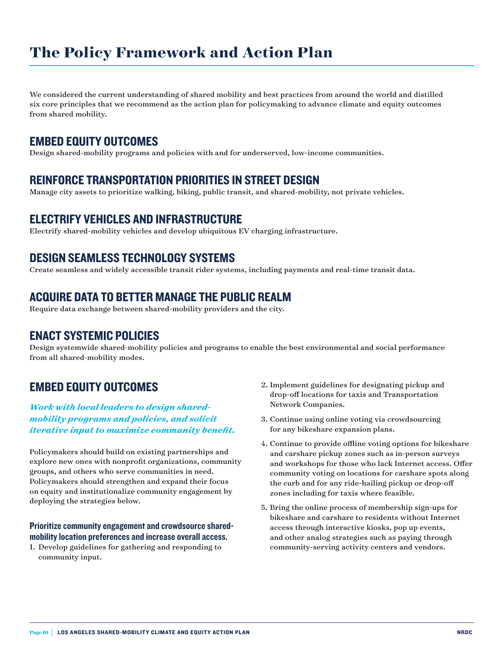## **The Policy Framework and Action Plan**

We considered the current understanding of shared mobility and best practices from around the world and distilled six core principles that we recommend as the action plan for policymaking to advance climate and equity outcomes from shared mobility.

## EMBED EQUITY OUTCOMES

Design shared-mobility programs and policies with and for underserved, low-income communities.

## REINFORCE TRANSPORTATION PRIORITIES IN STREET DESIGN

Manage city assets to prioritize walking, biking, public transit, and shared-mobility, not private vehicles.

## ELECTRIFY VEHICLES AND INFRASTRUCTURE

Electrify shared-mobility vehicles and develop ubiquitous EV charging infrastructure.

## DESIGN SEAMLESS TECHNOLOGY SYSTEMS

Create seamless and widely accessible transit rider systems, including payments and real-time transit data.

### ACQUIRE DATA TO BETTER MANAGE THE PUBLIC REALM

Require data exchange between shared-mobility providers and the city.

## ENACT SYSTEMIC POLICIES

Design systemwide shared-mobility policies and programs to enable the best environmental and social performance from all shared-mobility modes.

## EMBED EQUITY OUTCOMES

*Work with local leaders to design sharedmobility programs and policies, and solicit iterative input to maximize community benefit.*

Policymakers should build on existing partnerships and explore new ones with nonprofit organizations, community groups, and others who serve communities in need. Policymakers should strengthen and expand their focus on equity and institutionalize community engagement by deploying the strategies below.

#### Prioritize community engagement and crowdsource sharedmobility location preferences and increase overall access.

1. Develop guidelines for gathering and responding to community input.

- 2. Implement guidelines for designating pickup and drop-off locations for taxis and Transportation Network Companies.
- 3. Continue using online voting via crowdsourcing for any bikeshare expansion plans.
- 4. Continue to provide offline voting options for bikeshare and carshare pickup zones such as in-person surveys and workshops for those who lack Internet access. Offer community voting on locations for carshare spots along the curb and for any ride-hailing pickup or drop-off zones including for taxis where feasible.
- 5. Bring the online process of membership sign-ups for bikeshare and carshare to residents without Internet access through interactive kiosks, pop up events, and other analog strategies such as paying through community-serving activity centers and vendors.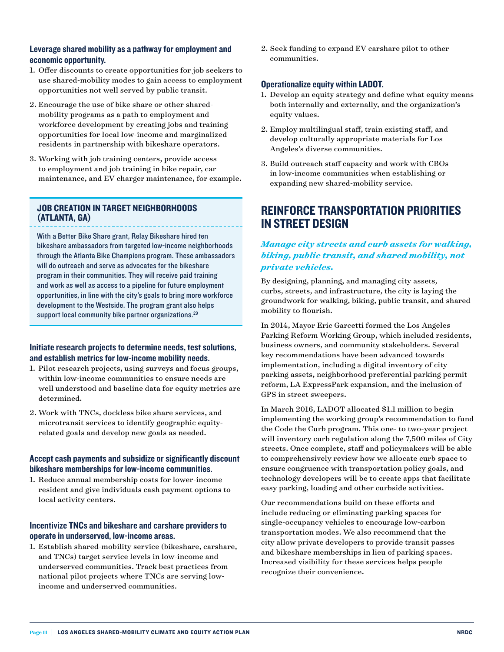#### Leverage shared mobility as a pathway for employment and economic opportunity.

- 1. Offer discounts to create opportunities for job seekers to use shared-mobility modes to gain access to employment opportunities not well served by public transit.
- 2. Encourage the use of bike share or other sharedmobility programs as a path to employment and workforce development by creating jobs and training opportunities for local low-income and marginalized residents in partnership with bikeshare operators.
- 3. Working with job training centers, provide access to employment and job training in bike repair, car maintenance, and EV charger maintenance, for example.

#### JOB CREATION IN TARGET NEIGHBORHOODS (ATLANTA, GA)

With a Better Bike Share grant, Relay Bikeshare hired ten bikeshare ambassadors from targeted low-income neighborhoods through the Atlanta Bike Champions program. These ambassadors will do outreach and serve as advocates for the bikeshare program in their communities. They will receive paid training and work as well as access to a pipeline for future employment opportunities, in line with the city's goals to bring more workforce development to the Westside. The program grant also helps support local community bike partner organizations.<sup>29</sup>

#### Initiate research projects to determine needs, test solutions, and establish metrics for low-income mobility needs.

- 1. Pilot research projects, using surveys and focus groups, within low-income communities to ensure needs are well understood and baseline data for equity metrics are determined.
- 2. Work with TNCs, dockless bike share services, and microtransit services to identify geographic equityrelated goals and develop new goals as needed.

#### Accept cash payments and subsidize or significantly discount bikeshare memberships for low-income communities.

1. Reduce annual membership costs for lower-income resident and give individuals cash payment options to local activity centers.

#### Incentivize TNCs and bikeshare and carshare providers to operate in underserved, low-income areas.

1. Establish shared-mobility service (bikeshare, carshare, and TNCs) target service levels in low-income and underserved communities. Track best practices from national pilot projects where TNCs are serving lowincome and underserved communities.

2. Seek funding to expand EV carshare pilot to other communities.

#### Operationalize equity within LADOT.

- 1. Develop an equity strategy and define what equity means both internally and externally, and the organization's equity values.
- 2. Employ multilingual staff, train existing staff, and develop culturally appropriate materials for Los Angeles's diverse communities.
- 3. Build outreach staff capacity and work with CBOs in low-income communities when establishing or expanding new shared-mobility service.

## REINFORCE TRANSPORTATION PRIORITIES IN STREET DESIGN

#### *Manage city streets and curb assets for walking, biking, public transit, and shared mobility, not private vehicles.*

By designing, planning, and managing city assets, curbs, streets, and infrastructure, the city is laying the groundwork for walking, biking, public transit, and shared mobility to flourish.

In 2014, Mayor Eric Garcetti formed the Los Angeles Parking Reform Working Group, which included residents, business owners, and community stakeholders. Several key recommendations have been advanced towards implementation, including a digital inventory of city parking assets, neighborhood preferential parking permit reform, LA ExpressPark expansion, and the inclusion of GPS in street sweepers.

In March 2016, LADOT allocated \$1.1 million to begin implementing the working group's recommendation to fund the Code the Curb program. This one- to two-year project will inventory curb regulation along the 7,500 miles of City streets. Once complete, staff and policymakers will be able to comprehensively review how we allocate curb space to ensure congruence with transportation policy goals, and technology developers will be to create apps that facilitate easy parking, loading and other curbside activities.

Our recommendations build on these efforts and include reducing or eliminating parking spaces for single-occupancy vehicles to encourage low-carbon transportation modes. We also recommend that the city allow private developers to provide transit passes and bikeshare memberships in lieu of parking spaces. Increased visibility for these services helps people recognize their convenience.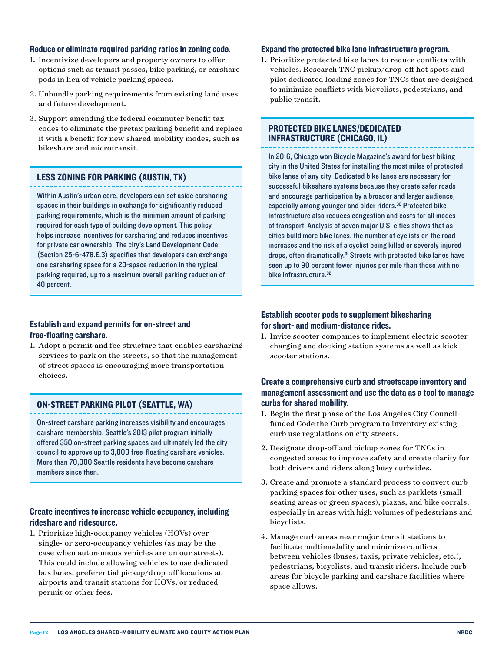#### Reduce or eliminate required parking ratios in zoning code.

- 1. Incentivize developers and property owners to offer options such as transit passes, bike parking, or carshare pods in lieu of vehicle parking spaces.
- 2. Unbundle parking requirements from existing land uses and future development.
- 3. Support amending the federal commuter benefit tax codes to eliminate the pretax parking benefit and replace it with a benefit for new shared-mobility modes, such as bikeshare and microtransit.

#### LESS ZONING FOR PARKING (AUSTIN, TX)

Within Austin's urban core, developers can set aside carsharing spaces in their buildings in exchange for significantly reduced parking requirements, which is the minimum amount of parking required for each type of building development. This policy helps increase incentives for carsharing and reduces incentives for private car ownership. The city's Land Development Code (Section 25-6-478.E.3) specifies that developers can exchange one carsharing space for a 20-space reduction in the typical parking required, up to a maximum overall parking reduction of 40 percent.

#### Establish and expand permits for on-street and free-floating carshare.

1. Adopt a permit and fee structure that enables carsharing services to park on the streets, so that the management of street spaces is encouraging more transportation choices.

#### ON-STREET PARKING PILOT (SEATTLE, WA)

On-street carshare parking increases visibility and encourages carshare membership. Seattle's 2013 pilot program initially offered 350 on-street parking spaces and ultimately led the city council to approve up to 3,000 free-floating carshare vehicles. More than 70,000 Seattle residents have become carshare members since then.

#### Create incentives to increase vehicle occupancy, including rideshare and ridesource.

1. Prioritize high-occupancy vehicles (HOVs) over single- or zero-occupancy vehicles (as may be the case when autonomous vehicles are on our streets). This could include allowing vehicles to use dedicated bus lanes, preferential pickup/drop-off locations at airports and transit stations for HOVs, or reduced permit or other fees.

#### Expand the protected bike lane infrastructure program.

1. Prioritize protected bike lanes to reduce conflicts with vehicles. Research TNC pickup/drop-off hot spots and pilot dedicated loading zones for TNCs that are designed to minimize conflicts with bicyclists, pedestrians, and public transit.

#### PROTECTED BIKE LANES/DEDICATED INFRASTRUCTURE (CHICAGO, IL)

In 2016, Chicago won Bicycle Magazine's award for best biking city in the United States for installing the most miles of protected bike lanes of any city. Dedicated bike lanes are necessary for successful bikeshare systems because they create safer roads and encourage participation by a broader and larger audience, especially among younger and older riders.<sup>30</sup> Protected bike infrastructure also reduces congestion and costs for all modes of transport. Analysis of seven major U.S. cities shows that as cities build more bike lanes, the number of cyclists on the road increases and the risk of a cyclist being killed or severely injured drops, often dramatically.<sup>31</sup> Streets with protected bike lanes have seen up to 90 percent fewer injuries per mile than those with no bike infrastructure.<sup>32</sup>

#### Establish scooter pods to supplement bikesharing for short- and medium-distance rides.

1. Invite scooter companies to implement electric scooter charging and docking station systems as well as kick scooter stations.

#### Create a comprehensive curb and streetscape inventory and management assessment and use the data as a tool to manage curbs for shared mobility.

- 1. Begin the first phase of the Los Angeles City Councilfunded Code the Curb program to inventory existing curb use regulations on city streets.
- 2. Designate drop-off and pickup zones for TNCs in congested areas to improve safety and create clarity for both drivers and riders along busy curbsides.
- 3. Create and promote a standard process to convert curb parking spaces for other uses, such as parklets (small seating areas or green spaces), plazas, and bike corrals, especially in areas with high volumes of pedestrians and bicyclists.
- 4. Manage curb areas near major transit stations to facilitate multimodality and minimize conflicts between vehicles (buses, taxis, private vehicles, etc.), pedestrians, bicyclists, and transit riders. Include curb areas for bicycle parking and carshare facilities where space allows.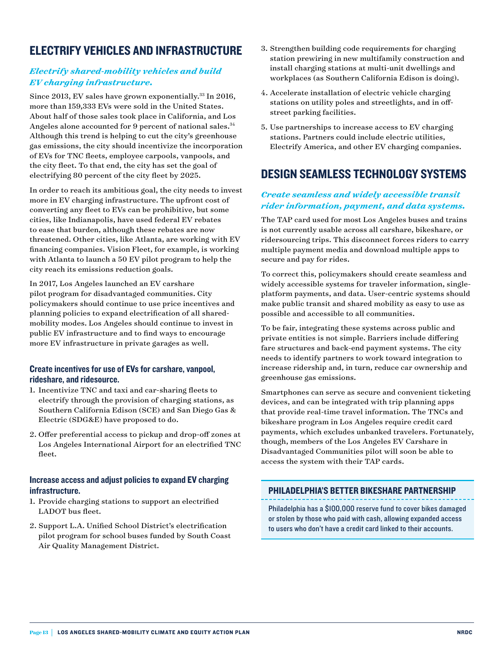## ELECTRIFY VEHICLES AND INFRASTRUCTURE

#### *Electrify shared-mobility vehicles and build EV charging infrastructure.*

Since 2013, EV sales have grown exponentially.<sup>33</sup> In 2016, more than 159,333 EVs were sold in the United States. About half of those sales took place in California, and Los Angeles alone accounted for 9 percent of national sales.<sup>34</sup> Although this trend is helping to cut the city's greenhouse gas emissions, the city should incentivize the incorporation of EVs for TNC fleets, employee carpools, vanpools, and the city fleet. To that end, the city has set the goal of electrifying 80 percent of the city fleet by 2025.

In order to reach its ambitious goal, the city needs to invest more in EV charging infrastructure. The upfront cost of converting any fleet to EVs can be prohibitive, but some cities, like Indianapolis, have used federal EV rebates to ease that burden, although these rebates are now threatened. Other cities, like Atlanta, are working with EV financing companies. Vision Fleet, for example, is working with Atlanta to launch a 50 EV pilot program to help the city reach its emissions reduction goals.

In 2017, Los Angeles launched an EV carshare pilot program for disadvantaged communities. City policymakers should continue to use price incentives and planning policies to expand electrification of all sharedmobility modes. Los Angeles should continue to invest in public EV infrastructure and to find ways to encourage more EV infrastructure in private garages as well.

#### Create incentives for use of EVs for carshare, vanpool, rideshare, and ridesource.

- 1. Incentivize TNC and taxi and car-sharing fleets to electrify through the provision of charging stations, as Southern California Edison (SCE) and San Diego Gas & Electric (SDG&E) have proposed to do.
- 2. Offer preferential access to pickup and drop-off zones at Los Angeles International Airport for an electrified TNC fleet.

#### Increase access and adjust policies to expand EV charging infrastructure.

- 1. Provide charging stations to support an electrified LADOT bus fleet.
- 2. Support L.A. Unified School District's electrification pilot program for school buses funded by South Coast Air Quality Management District.
- 3. Strengthen building code requirements for charging station prewiring in new multifamily construction and install charging stations at multi-unit dwellings and workplaces (as Southern California Edison is doing).
- 4. Accelerate installation of electric vehicle charging stations on utility poles and streetlights, and in offstreet parking facilities.
- 5. Use partnerships to increase access to EV charging stations. Partners could include electric utilities, Electrify America, and other EV charging companies.

## DESIGN SEAMLESS TECHNOLOGY SYSTEMS

#### *Create seamless and widely accessible transit rider information, payment, and data systems.*

The TAP card used for most Los Angeles buses and trains is not currently usable across all carshare, bikeshare, or ridersourcing trips. This disconnect forces riders to carry multiple payment media and download multiple apps to secure and pay for rides.

To correct this, policymakers should create seamless and widely accessible systems for traveler information, singleplatform payments, and data. User-centric systems should make public transit and shared mobility as easy to use as possible and accessible to all communities.

To be fair, integrating these systems across public and private entities is not simple. Barriers include differing fare structures and back-end payment systems. The city needs to identify partners to work toward integration to increase ridership and, in turn, reduce car ownership and greenhouse gas emissions.

Smartphones can serve as secure and convenient ticketing devices, and can be integrated with trip planning apps that provide real-time travel information. The TNCs and bikeshare program in Los Angeles require credit card payments, which excludes unbanked travelers. Fortunately, though, members of the Los Angeles EV Carshare in Disadvantaged Communities pilot will soon be able to access the system with their TAP cards.

#### PHILADELPHIA'S BETTER BIKESHARE PARTNERSHIP

Philadelphia has a \$100,000 reserve fund to cover bikes damaged or stolen by those who paid with cash, allowing expanded access to users who don't have a credit card linked to their accounts.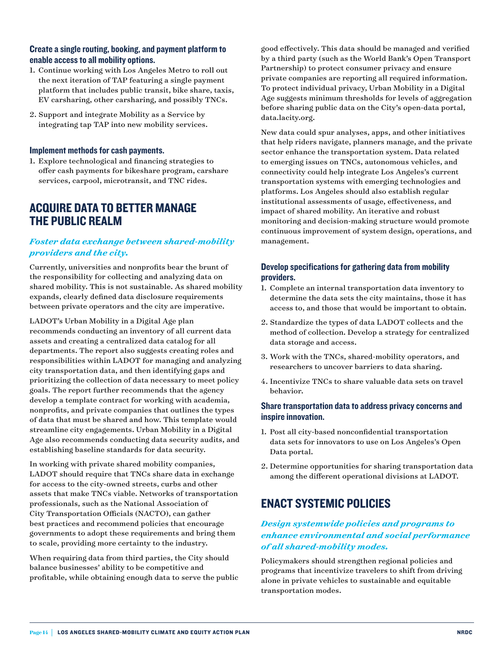#### Create a single routing, booking, and payment platform to enable access to all mobility options.

- 1. Continue working with Los Angeles Metro to roll out the next iteration of TAP featuring a single payment platform that includes public transit, bike share, taxis, EV carsharing, other carsharing, and possibly TNCs.
- 2. Support and integrate Mobility as a Service by integrating tap TAP into new mobility services.

#### Implement methods for cash payments.

1. Explore technological and financing strategies to offer cash payments for bikeshare program, carshare services, carpool, microtransit, and TNC rides.

## ACQUIRE DATA TO BETTER MANAGE THE PUBLIC REALM

#### *Foster data exchange between shared-mobility providers and the city.*

Currently, universities and nonprofits bear the brunt of the responsibility for collecting and analyzing data on shared mobility. This is not sustainable. As shared mobility expands, clearly defined data disclosure requirements between private operators and the city are imperative.

LADOT's Urban Mobility in a Digital Age plan recommends conducting an inventory of all current data assets and creating a centralized data catalog for all departments. The report also suggests creating roles and responsibilities within LADOT for managing and analyzing city transportation data, and then identifying gaps and prioritizing the collection of data necessary to meet policy goals. The report further recommends that the agency develop a template contract for working with academia, nonprofits, and private companies that outlines the types of data that must be shared and how. This template would streamline city engagements. Urban Mobility in a Digital Age also recommends conducting data security audits, and establishing baseline standards for data security.

In working with private shared mobility companies, LADOT should require that TNCs share data in exchange for access to the city-owned streets, curbs and other assets that make TNCs viable. Networks of transportation professionals, such as the National Association of City Transportation Officials (NACTO), can gather best practices and recommend policies that encourage governments to adopt these requirements and bring them to scale, providing more certainty to the industry.

When requiring data from third parties, the City should balance businesses' ability to be competitive and profitable, while obtaining enough data to serve the public

good effectively. This data should be managed and verified by a third party (such as the World Bank's Open Transport Partnership) to protect consumer privacy and ensure private companies are reporting all required information. To protect individual privacy, Urban Mobility in a Digital Age suggests minimum thresholds for levels of aggregation before sharing public data on the City's open-data portal, data.lacity.org.

New data could spur analyses, apps, and other initiatives that help riders navigate, planners manage, and the private sector enhance the transportation system. Data related to emerging issues on TNCs, autonomous vehicles, and connectivity could help integrate Los Angeles's current transportation systems with emerging technologies and platforms. Los Angeles should also establish regular institutional assessments of usage, effectiveness, and impact of shared mobility. An iterative and robust monitoring and decision-making structure would promote continuous improvement of system design, operations, and management.

#### Develop specifications for gathering data from mobility providers.

- 1. Complete an internal transportation data inventory to determine the data sets the city maintains, those it has access to, and those that would be important to obtain.
- 2. Standardize the types of data LADOT collects and the method of collection. Develop a strategy for centralized data storage and access.
- 3. Work with the TNCs, shared-mobility operators, and researchers to uncover barriers to data sharing.
- 4. Incentivize TNCs to share valuable data sets on travel behavior.

#### Share transportation data to address privacy concerns and inspire innovation.

- 1. Post all city-based nonconfidential transportation data sets for innovators to use on Los Angeles's Open Data portal.
- 2. Determine opportunities for sharing transportation data among the different operational divisions at LADOT.

## ENACT SYSTEMIC POLICIES

#### *Design systemwide policies and programs to enhance environmental and social performance of all shared-mobility modes.*

Policymakers should strengthen regional policies and programs that incentivize travelers to shift from driving alone in private vehicles to sustainable and equitable transportation modes.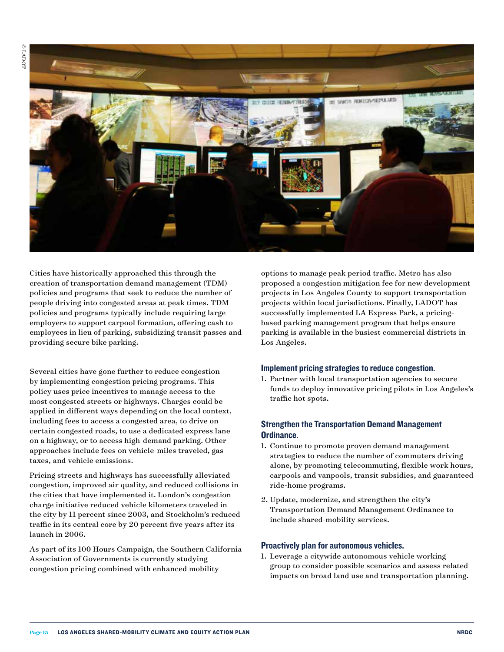

Cities have historically approached this through the creation of transportation demand management (TDM) policies and programs that seek to reduce the number of people driving into congested areas at peak times. TDM policies and programs typically include requiring large employers to support carpool formation, offering cash to employees in lieu of parking, subsidizing transit passes and providing secure bike parking.

Several cities have gone further to reduce congestion by implementing congestion pricing programs. This policy uses price incentives to manage access to the most congested streets or highways. Charges could be applied in different ways depending on the local context, including fees to access a congested area, to drive on certain congested roads, to use a dedicated express lane on a highway, or to access high-demand parking. Other approaches include fees on vehicle-miles traveled, gas taxes, and vehicle emissions.

Pricing streets and highways has successfully alleviated congestion, improved air quality, and reduced collisions in the cities that have implemented it. London's congestion charge initiative reduced vehicle kilometers traveled in the city by 11 percent since 2003, and Stockholm's reduced traffic in its central core by 20 percent five years after its launch in 2006.

As part of its 100 Hours Campaign, the Southern California Association of Governments is currently studying congestion pricing combined with enhanced mobility

options to manage peak period traffic. Metro has also proposed a congestion mitigation fee for new development projects in Los Angeles County to support transportation projects within local jurisdictions. Finally, LADOT has successfully implemented LA Express Park, a pricingbased parking management program that helps ensure parking is available in the busiest commercial districts in Los Angeles.

#### Implement pricing strategies to reduce congestion.

1. Partner with local transportation agencies to secure funds to deploy innovative pricing pilots in Los Angeles's traffic hot spots.

#### Strengthen the Transportation Demand Management Ordinance.

- 1. Continue to promote proven demand management strategies to reduce the number of commuters driving alone, by promoting telecommuting, flexible work hours, carpools and vanpools, transit subsidies, and guaranteed ride-home programs.
- 2. Update, modernize, and strengthen the city's Transportation Demand Management Ordinance to include shared-mobility services.

#### Proactively plan for autonomous vehicles.

1. Leverage a citywide autonomous vehicle working group to consider possible scenarios and assess related impacts on broad land use and transportation planning.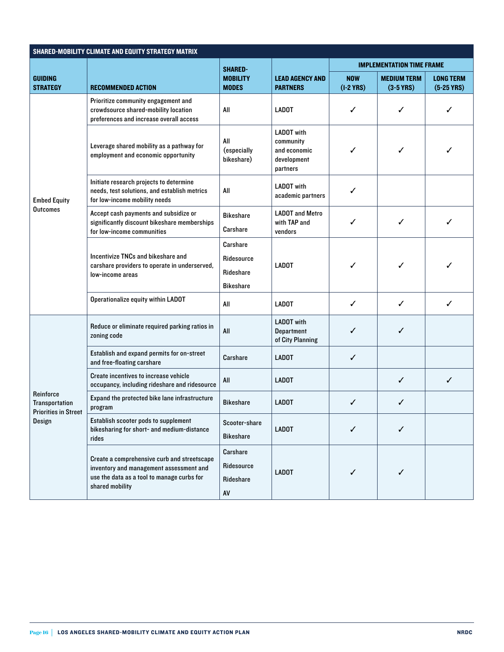| <b>SHARED-MOBILITY CLIMATE AND EQUITY STRATEGY MATRIX</b>                   |                                                                                                                                                         |                                                         |                                                                           |                                  |                                   |                                  |  |  |  |  |
|-----------------------------------------------------------------------------|---------------------------------------------------------------------------------------------------------------------------------------------------------|---------------------------------------------------------|---------------------------------------------------------------------------|----------------------------------|-----------------------------------|----------------------------------|--|--|--|--|
| <b>GUIDING</b><br><b>STRATEGY</b>                                           | <b>RECOMMENDED ACTION</b>                                                                                                                               | <b>SHARED-</b><br><b>MOBILITY</b><br><b>MODES</b>       | <b>LEAD AGENCY AND</b><br><b>PARTNERS</b>                                 | <b>IMPLEMENTATION TIME FRAME</b> |                                   |                                  |  |  |  |  |
|                                                                             |                                                                                                                                                         |                                                         |                                                                           | <b>NOW</b><br>$(1-2$ YRS)        | <b>MEDIUM TERM</b><br>$(3-5$ YRS) | <b>LONG TERM</b><br>$(5-25$ YRS) |  |  |  |  |
| <b>Embed Equity</b><br><b>Outcomes</b>                                      | Prioritize community engagement and<br>crowdsource shared-mobility location<br>preferences and increase overall access                                  | All                                                     | <b>LADOT</b>                                                              | ✓                                | ✓                                 | ✓                                |  |  |  |  |
|                                                                             | Leverage shared mobility as a pathway for<br>employment and economic opportunity                                                                        | All<br>(especially<br>bikeshare)                        | <b>LADOT</b> with<br>community<br>and economic<br>development<br>partners | ✓                                | ✓                                 | ✓                                |  |  |  |  |
|                                                                             | Initiate research projects to determine<br>needs, test solutions, and establish metrics<br>for low-income mobility needs                                | All                                                     | <b>LADOT</b> with<br>academic partners                                    | ✓                                |                                   |                                  |  |  |  |  |
|                                                                             | Accept cash payments and subsidize or<br>significantly discount bikeshare memberships<br>for low-income communities                                     | <b>Bikeshare</b><br>Carshare                            | <b>LADOT</b> and Metro<br>with TAP and<br>vendors                         | ✓                                | ✓                                 | ✓                                |  |  |  |  |
|                                                                             | Incentivize TNCs and bikeshare and<br>carshare providers to operate in underserved,<br>low-income areas                                                 | Carshare<br>Ridesource<br>Rideshare<br><b>Bikeshare</b> | <b>LADOT</b>                                                              | ✓                                | ✓                                 | ✓                                |  |  |  |  |
|                                                                             | Operationalize equity within LADOT                                                                                                                      | All                                                     | <b>LADOT</b>                                                              | ✓                                | $\checkmark$                      | ✓                                |  |  |  |  |
| Reinforce<br><b>Transportation</b><br><b>Priorities in Street</b><br>Design | Reduce or eliminate required parking ratios in<br>zoning code                                                                                           | All                                                     | <b>LADOT</b> with<br><b>Department</b><br>of City Planning                | ✓                                | ✓                                 |                                  |  |  |  |  |
|                                                                             | Establish and expand permits for on-street<br>and free-floating carshare                                                                                | Carshare                                                | <b>LADOT</b>                                                              | $\checkmark$                     |                                   |                                  |  |  |  |  |
|                                                                             | Create incentives to increase vehicle<br>occupancy, including rideshare and ridesource                                                                  | All                                                     | <b>LADOT</b>                                                              |                                  | ✓                                 | $\checkmark$                     |  |  |  |  |
|                                                                             | Expand the protected bike lane infrastructure<br>program                                                                                                | <b>Bikeshare</b>                                        | <b>LADOT</b>                                                              | ✓                                | ✓                                 |                                  |  |  |  |  |
|                                                                             | Establish scooter pods to supplement<br>bikesharing for short- and medium-distance<br>rides                                                             | Scooter-share<br><b>Bikeshare</b>                       | <b>LADOT</b>                                                              | ✓                                | ✓                                 |                                  |  |  |  |  |
|                                                                             | Create a comprehensive curb and streetscape<br>inventory and management assessment and<br>use the data as a tool to manage curbs for<br>shared mobility | Carshare<br>Ridesource<br>Rideshare<br>AV               | <b>LADOT</b>                                                              | ✓                                | ✓                                 |                                  |  |  |  |  |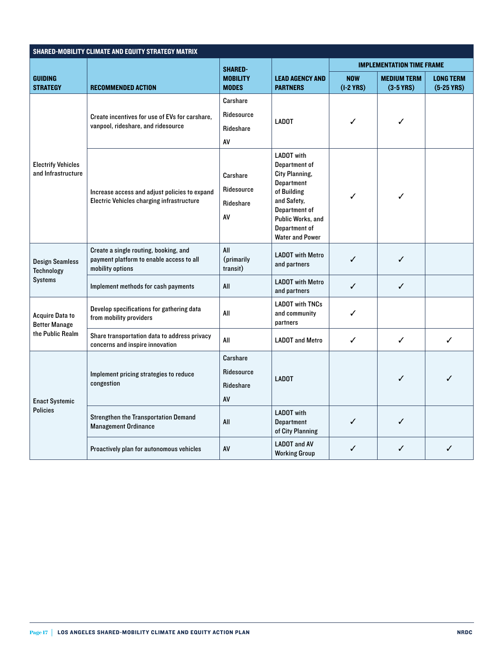| SHARED-MOBILITY CLIMATE AND EQUITY STRATEGY MATRIX                 |                                                                                                       |                                           |                                                                                                                                                                                          |                                  |                                   |                                  |  |  |  |  |  |
|--------------------------------------------------------------------|-------------------------------------------------------------------------------------------------------|-------------------------------------------|------------------------------------------------------------------------------------------------------------------------------------------------------------------------------------------|----------------------------------|-----------------------------------|----------------------------------|--|--|--|--|--|
|                                                                    |                                                                                                       | <b>SHARED-</b>                            |                                                                                                                                                                                          | <b>IMPLEMENTATION TIME FRAME</b> |                                   |                                  |  |  |  |  |  |
| GUIDING<br><b>STRATEGY</b>                                         | <b>RECOMMENDED ACTION</b>                                                                             | <b>MOBILITY</b><br><b>MODES</b>           | <b>LEAD AGENCY AND</b><br><b>PARTNERS</b>                                                                                                                                                | <b>NOW</b><br>$(1-2$ YRS)        | <b>MEDIUM TERM</b><br>$(3-5$ YRS) | <b>LONG TERM</b><br>$(5-25$ YRS) |  |  |  |  |  |
| <b>Electrify Vehicles</b><br>and Infrastructure                    | Create incentives for use of EVs for carshare,<br>vanpool, rideshare, and ridesource                  | Carshare<br>Ridesource<br>Rideshare<br>AV | <b>LADOT</b>                                                                                                                                                                             | ✓                                | ✓                                 |                                  |  |  |  |  |  |
|                                                                    | Increase access and adjust policies to expand<br>Electric Vehicles charging infrastructure            | Carshare<br>Ridesource<br>Rideshare<br>AV | <b>LADOT</b> with<br>Department of<br>City Planning,<br><b>Department</b><br>of Building<br>and Safety,<br>Department of<br>Public Works, and<br>Department of<br><b>Water and Power</b> | ✓                                | ✓                                 |                                  |  |  |  |  |  |
| Design Seamless<br>Technology<br>Systems                           | Create a single routing, booking, and<br>payment platform to enable access to all<br>mobility options | All<br>(primarily<br>transit)             | <b>LADOT</b> with Metro<br>and partners                                                                                                                                                  | ✓                                | ✓                                 |                                  |  |  |  |  |  |
|                                                                    | Implement methods for cash payments                                                                   | All                                       | <b>LADOT</b> with Metro<br>and partners                                                                                                                                                  | ✓                                | ✓                                 |                                  |  |  |  |  |  |
| <b>Acquire Data to</b><br><b>Better Manage</b><br>the Public Realm | Develop specifications for gathering data<br>from mobility providers                                  | All                                       | <b>LADOT with TNCs</b><br>and community<br>partners                                                                                                                                      | ✓                                |                                   |                                  |  |  |  |  |  |
|                                                                    | Share transportation data to address privacy<br>concerns and inspire innovation                       | All                                       | <b>LADOT</b> and Metro                                                                                                                                                                   | ✓                                | ✓                                 | ✓                                |  |  |  |  |  |
| <b>Enact Systemic</b><br><b>Policies</b>                           | Implement pricing strategies to reduce<br>congestion                                                  | Carshare<br>Ridesource<br>Rideshare<br>AV | <b>LADOT</b>                                                                                                                                                                             |                                  | ✓                                 | ✓                                |  |  |  |  |  |
|                                                                    | <b>Strengthen the Transportation Demand</b><br><b>Management Ordinance</b>                            | All                                       | <b>LADOT</b> with<br><b>Department</b><br>of City Planning                                                                                                                               | ✓                                | ✓                                 |                                  |  |  |  |  |  |
|                                                                    | Proactively plan for autonomous vehicles                                                              | <b>AV</b>                                 | <b>LADOT and AV</b><br><b>Working Group</b>                                                                                                                                              | ✓                                | ✓                                 | ✓                                |  |  |  |  |  |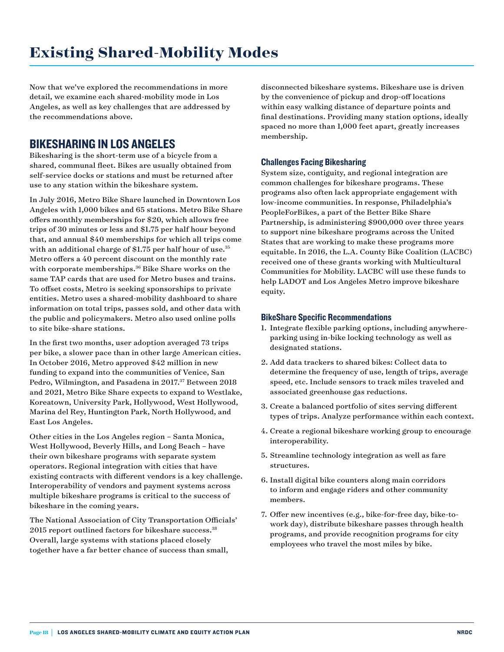Now that we've explored the recommendations in more detail, we examine each shared-mobility mode in Los Angeles, as well as key challenges that are addressed by the recommendations above.

## BIKESHARING IN LOS ANGELES

Bikesharing is the short-term use of a bicycle from a shared, communal fleet. Bikes are usually obtained from self-service docks or stations and must be returned after use to any station within the bikeshare system.

In July 2016, Metro Bike Share launched in Downtown Los Angeles with 1,000 bikes and 65 stations. Metro Bike Share offers monthly memberships for \$20, which allows free trips of 30 minutes or less and \$1.75 per half hour beyond that, and annual \$40 memberships for which all trips come with an additional charge of \$1.75 per half hour of use.<sup>35</sup> Metro offers a 40 percent discount on the monthly rate with corporate memberships.<sup>36</sup> Bike Share works on the same TAP cards that are used for Metro buses and trains. To offset costs, Metro is seeking sponsorships to private entities. Metro uses a shared-mobility dashboard to share information on total trips, passes sold, and other data with the public and policymakers. Metro also used online polls to site bike-share stations.

In the first two months, user adoption averaged 73 trips per bike, a slower pace than in other large American cities. In October 2016, Metro approved \$42 million in new funding to expand into the communities of Venice, San Pedro, Wilmington, and Pasadena in 2017.<sup>37</sup> Between 2018 and 2021, Metro Bike Share expects to expand to Westlake, Koreatown, University Park, Hollywood, West Hollywood, Marina del Rey, Huntington Park, North Hollywood, and East Los Angeles.

Other cities in the Los Angeles region – Santa Monica, West Hollywood, Beverly Hills, and Long Beach – have their own bikeshare programs with separate system operators. Regional integration with cities that have existing contracts with different vendors is a key challenge. Interoperability of vendors and payment systems across multiple bikeshare programs is critical to the success of bikeshare in the coming years.

The National Association of City Transportation Officials' 2015 report outlined factors for bikeshare success.<sup>38</sup> Overall, large systems with stations placed closely together have a far better chance of success than small,

disconnected bikeshare systems. Bikeshare use is driven by the convenience of pickup and drop-off locations within easy walking distance of departure points and final destinations. Providing many station options, ideally spaced no more than 1,000 feet apart, greatly increases membership.

#### Challenges Facing Bikesharing

System size, contiguity, and regional integration are common challenges for bikeshare programs. These programs also often lack appropriate engagement with low-income communities. In response, Philadelphia's PeopleForBikes, a part of the Better Bike Share Partnership, is administering \$900,000 over three years to support nine bikeshare programs across the United States that are working to make these programs more equitable. In 2016, the L.A. County Bike Coalition (LACBC) received one of these grants working with Multicultural Communities for Mobility. LACBC will use these funds to help LADOT and Los Angeles Metro improve bikeshare equity.

#### BikeShare Specific Recommendations

- 1. Integrate flexible parking options, including anywhereparking using in-bike locking technology as well as designated stations.
- 2. Add data trackers to shared bikes: Collect data to determine the frequency of use, length of trips, average speed, etc. Include sensors to track miles traveled and associated greenhouse gas reductions.
- 3. Create a balanced portfolio of sites serving different types of trips. Analyze performance within each context.
- 4. Create a regional bikeshare working group to encourage interoperability.
- 5. Streamline technology integration as well as fare structures.
- 6. Install digital bike counters along main corridors to inform and engage riders and other community members.
- 7. Offer new incentives (e.g., bike-for-free day, bike-towork day), distribute bikeshare passes through health programs, and provide recognition programs for city employees who travel the most miles by bike.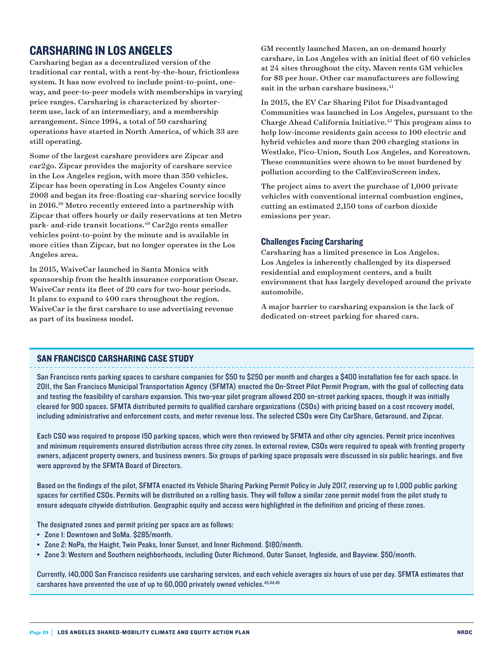## CARSHARING IN LOS ANGELES

Carsharing began as a decentralized version of the traditional car rental, with a rent-by-the-hour, frictionless system. It has now evolved to include point-to-point, oneway, and peer-to-peer models with memberships in varying price ranges. Carsharing is characterized by shorterterm use, lack of an intermediary, and a membership arrangement. Since 1994, a total of 50 carsharing operations have started in North America, of which 33 are still operating.

Some of the largest carshare providers are Zipcar and car2go. Zipcar provides the majority of carshare service in the Los Angeles region, with more than 350 vehicles. Zipcar has been operating in Los Angeles County since 2008 and began its free-floating car-sharing service locally in 2016.39 Metro recently entered into a partnership with Zipcar that offers hourly or daily reservations at ten Metro park- and-ride transit locations.40 Car2go rents smaller vehicles point-to-point by the minute and is available in more cities than Zipcar, but no longer operates in the Los Angeles area.

In 2015, WaiveCar launched in Santa Monica with sponsorship from the health insurance corporation Oscar. WaiveCar rents its fleet of 20 cars for two-hour periods. It plans to expand to 400 cars throughout the region. WaiveCar is the first carshare to use advertising revenue as part of its business model.

GM recently launched Maven, an on-demand hourly carshare, in Los Angeles with an initial fleet of 60 vehicles at 24 sites throughout the city. Maven rents GM vehicles for \$8 per hour. Other car manufacturers are following suit in the urban carshare business.<sup>41</sup>

In 2015, the EV Car Sharing Pilot for Disadvantaged Communities was launched in Los Angeles, pursuant to the Charge Ahead California Initiative.42 This program aims to help low-income residents gain access to 100 electric and hybrid vehicles and more than 200 charging stations in Westlake, Pico-Union, South Los Angeles, and Koreatown. These communities were shown to be most burdened by pollution according to the CalEnviroScreen index.

The project aims to avert the purchase of 1,000 private vehicles with conventional internal combustion engines, cutting an estimated 2,150 tons of carbon dioxide emissions per year.

#### Challenges Facing Carsharing

Carsharing has a limited presence in Los Angeles. Los Angeles is inherently challenged by its dispersed residential and employment centers, and a built environment that has largely developed around the private automobile.

A major barrier to carsharing expansion is the lack of dedicated on-street parking for shared cars.

#### SAN FRANCISCO CARSHARING CASE STUDY

San Francisco rents parking spaces to carshare companies for \$50 to \$250 per month and charges a \$400 installation fee for each space. In 2011, the San Francisco Municipal Transportation Agency (SFMTA) enacted the On-Street Pilot Permit Program, with the goal of collecting data and testing the feasibility of carshare expansion. This two-year pilot program allowed 200 on-street parking spaces, though it was initially cleared for 900 spaces. SFMTA distributed permits to qualified carshare organizations (CSOs) with pricing based on a cost recovery model, including administrative and enforcement costs, and meter revenue loss. The selected CSOs were City CarShare, Getaround, and Zipcar.

Each CSO was required to propose 150 parking spaces, which were then reviewed by SFMTA and other city agencies. Permit price incentives and minimum requirements ensured distribution across three city zones. In external review, CSOs were required to speak with fronting property owners, adjacent property owners, and business owners. Six groups of parking space proposals were discussed in six public hearings, and five were approved by the SFMTA Board of Directors.

Based on the findings of the pilot, SFMTA enacted its Vehicle Sharing Parking Permit Policy in July 2017, reserving up to 1,000 public parking spaces for certified CSOs. Permits will be distributed on a rolling basis. They will follow a similar zone permit model from the pilot study to ensure adequate citywide distribution. Geographic equity and access were highlighted in the definition and pricing of these zones.

The designated zones and permit pricing per space are as follows:

- Zone 1: Downtown and SoMa. \$285/month.
- Zone 2: NoPa, the Haight, Twin Peaks, Inner Sunset, and Inner Richmond. \$180/month.
- Zone 3: Western and Southern neighborhoods, including Outer Richmond, Outer Sunset, Ingleside, and Bayview. \$50/month.

Currently, 140,000 San Francisco residents use carsharing services, and each vehicle averages six hours of use per day. SFMTA estimates that carshares have prevented the use of up to 60,000 privately owned vehicles.<sup>43,44,45</sup>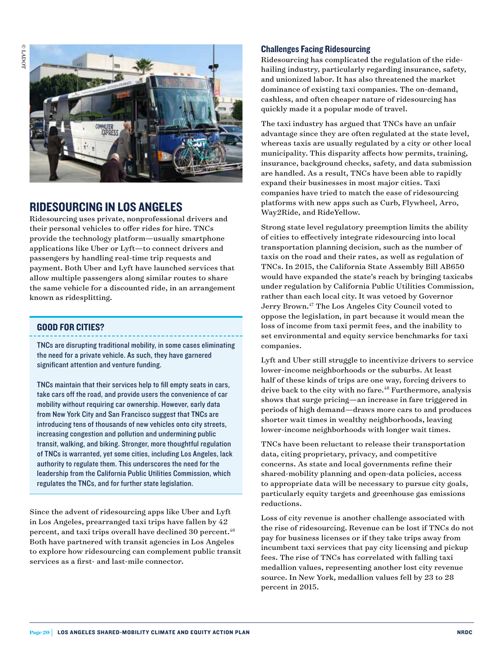

### RIDESOURCING IN LOS ANGELES

Ridesourcing uses private, nonprofessional drivers and their personal vehicles to offer rides for hire. TNCs provide the technology platform—usually smartphone applications like Uber or Lyft—to connect drivers and passengers by handling real-time trip requests and payment. Both Uber and Lyft have launched services that allow multiple passengers along similar routes to share the same vehicle for a discounted ride, in an arrangement known as ridesplitting.

#### GOOD FOR CITIES?

TNCs are disrupting traditional mobility, in some cases eliminating the need for a private vehicle. As such, they have garnered significant attention and venture funding.

TNCs maintain that their services help to fill empty seats in cars, take cars off the road, and provide users the convenience of car mobility without requiring car ownership. However, early data from New York City and San Francisco suggest that TNCs are introducing tens of thousands of new vehicles onto city streets, increasing congestion and pollution and undermining public transit, walking, and biking. Stronger, more thoughtful regulation of TNCs is warranted, yet some cities, including Los Angeles, lack authority to regulate them. This underscores the need for the leadership from the California Public Utilities Commission, which regulates the TNCs, and for further state legislation.

Since the advent of ridesourcing apps like Uber and Lyft in Los Angeles, prearranged taxi trips have fallen by 42 percent, and taxi trips overall have declined 30 percent.<sup>46</sup> Both have partnered with transit agencies in Los Angeles to explore how ridesourcing can complement public transit services as a first- and last-mile connector.

#### Challenges Facing Ridesourcing

Ridesourcing has complicated the regulation of the ridehailing industry, particularly regarding insurance, safety, and unionized labor. It has also threatened the market dominance of existing taxi companies. The on-demand, cashless, and often cheaper nature of ridesourcing has quickly made it a popular mode of travel.

The taxi industry has argued that TNCs have an unfair advantage since they are often regulated at the state level, whereas taxis are usually regulated by a city or other local municipality. This disparity affects how permits, training, insurance, background checks, safety, and data submission are handled. As a result, TNCs have been able to rapidly expand their businesses in most major cities. Taxi companies have tried to match the ease of ridesourcing platforms with new apps such as Curb, Flywheel, Arro, Way2Ride, and RideYellow.

Strong state level regulatory preemption limits the ability of cities to effectively integrate ridesourcing into local transportation planning decision, such as the number of taxis on the road and their rates, as well as regulation of TNCs. In 2015, the California State Assembly Bill AB650 would have expanded the state's reach by bringing taxicabs under regulation by California Public Utilities Commission, rather than each local city. It was vetoed by Governor Jerry Brown.47 The Los Angeles City Council voted to oppose the legislation, in part because it would mean the loss of income from taxi permit fees, and the inability to set environmental and equity service benchmarks for taxi companies.

Lyft and Uber still struggle to incentivize drivers to service lower-income neighborhoods or the suburbs. At least half of these kinds of trips are one way, forcing drivers to drive back to the city with no fare.<sup>48</sup> Furthermore, analysis shows that surge pricing—an increase in fare triggered in periods of high demand—draws more cars to and produces shorter wait times in wealthy neighborhoods, leaving lower-income neighborhoods with longer wait times.

TNCs have been reluctant to release their transportation data, citing proprietary, privacy, and competitive concerns. As state and local governments refine their shared-mobility planning and open-data policies, access to appropriate data will be necessary to pursue city goals, particularly equity targets and greenhouse gas emissions reductions.

Loss of city revenue is another challenge associated with the rise of ridesourcing. Revenue can be lost if TNCs do not pay for business licenses or if they take trips away from incumbent taxi services that pay city licensing and pickup fees. The rise of TNCs has correlated with falling taxi medallion values, representing another lost city revenue source. In New York, medallion values fell by 23 to 28 percent in 2015.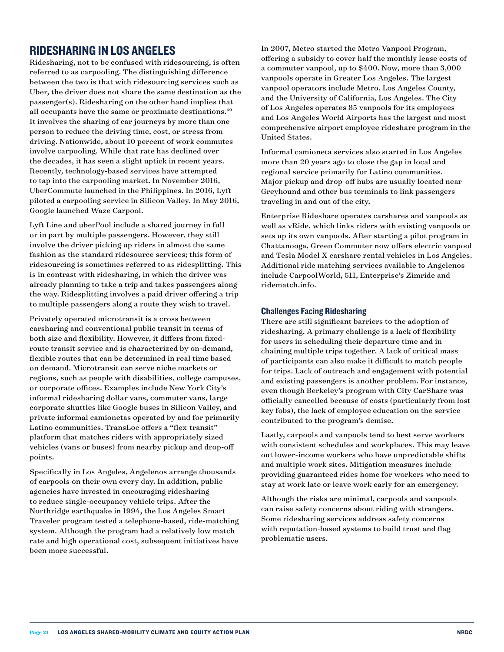## RIDESHARING IN LOS ANGELES

Ridesharing, not to be confused with ridesourcing, is often referred to as carpooling. The distinguishing difference between the two is that with ridesourcing services such as Uber, the driver does not share the same destination as the passenger(s). Ridesharing on the other hand implies that all occupants have the same or proximate destinations.<sup>49</sup> It involves the sharing of car journeys by more than one person to reduce the driving time, cost, or stress from driving. Nationwide, about 10 percent of work commutes involve carpooling. While that rate has declined over the decades, it has seen a slight uptick in recent years. Recently, technology-based services have attempted to tap into the carpooling market. In November 2016, UberCommute launched in the Philippines. In 2016, Lyft piloted a carpooling service in Silicon Valley. In May 2016, Google launched Waze Carpool.

Lyft Line and uberPool include a shared journey in full or in part by multiple passengers. However, they still involve the driver picking up riders in almost the same fashion as the standard ridesource services; this form of ridesourcing is sometimes referred to as ridesplitting. This is in contrast with ridesharing, in which the driver was already planning to take a trip and takes passengers along the way. Ridesplitting involves a paid driver offering a trip to multiple passengers along a route they wish to travel.

Privately operated microtransit is a cross between carsharing and conventional public transit in terms of both size and flexibility. However, it differs from fixedroute transit service and is characterized by on-demand, flexible routes that can be determined in real time based on demand. Microtransit can serve niche markets or regions, such as people with disabilities, college campuses, or corporate offices. Examples include New York City's informal ridesharing dollar vans, commuter vans, large corporate shuttles like Google buses in Silicon Valley, and private informal camionetas operated by and for primarily Latino communities. TransLoc offers a "flex-transit" platform that matches riders with appropriately sized vehicles (vans or buses) from nearby pickup and drop-off points.

Specifically in Los Angeles, Angelenos arrange thousands of carpools on their own every day. In addition, public agencies have invested in encouraging ridesharing to reduce single-occupancy vehicle trips. After the Northridge earthquake in 1994, the Los Angeles Smart Traveler program tested a telephone-based, ride-matching system. Although the program had a relatively low match rate and high operational cost, subsequent initiatives have been more successful.

In 2007, Metro started the Metro Vanpool Program, offering a subsidy to cover half the monthly lease costs of a commuter vanpool, up to \$400. Now, more than 3,000 vanpools operate in Greater Los Angeles. The largest vanpool operators include Metro, Los Angeles County, and the University of California, Los Angeles. The City of Los Angeles operates 85 vanpools for its employees and Los Angeles World Airports has the largest and most comprehensive airport employee rideshare program in the United States.

Informal camioneta services also started in Los Angeles more than 20 years ago to close the gap in local and regional service primarily for Latino communities. Major pickup and drop-off hubs are usually located near Greyhound and other bus terminals to link passengers traveling in and out of the city.

Enterprise Rideshare operates carshares and vanpools as well as vRide, which links riders with existing vanpools or sets up its own vanpools. After starting a pilot program in Chattanooga, Green Commuter now offers electric vanpool and Tesla Model X carshare rental vehicles in Los Angeles. Additional ride matching services available to Angelenos include CarpoolWorld, 511, Enterprise's Zimride and ridematch.info.

#### Challenges Facing Ridesharing

There are still significant barriers to the adoption of ridesharing. A primary challenge is a lack of flexibility for users in scheduling their departure time and in chaining multiple trips together. A lack of critical mass of participants can also make it difficult to match people for trips. Lack of outreach and engagement with potential and existing passengers is another problem. For instance, even though Berkeley's program with City CarShare was officially cancelled because of costs (particularly from lost key fobs), the lack of employee education on the service contributed to the program's demise.

Lastly, carpools and vanpools tend to best serve workers with consistent schedules and workplaces. This may leave out lower-income workers who have unpredictable shifts and multiple work sites. Mitigation measures include providing guaranteed rides home for workers who need to stay at work late or leave work early for an emergency.

Although the risks are minimal, carpools and vanpools can raise safety concerns about riding with strangers. Some ridesharing services address safety concerns with reputation-based systems to build trust and flag problematic users.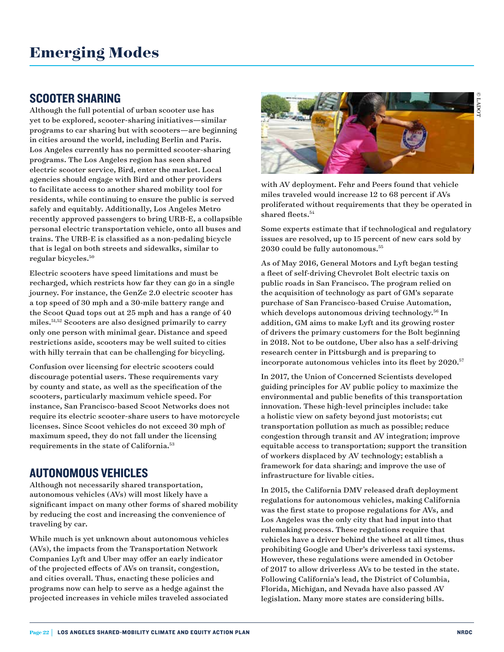### SCOOTER SHARING

Although the full potential of urban scooter use has yet to be explored, scooter-sharing initiatives—similar programs to car sharing but with scooters—are beginning in cities around the world, including Berlin and Paris. Los Angeles currently has no permitted scooter-sharing programs. The Los Angeles region has seen shared electric scooter service, Bird, enter the market. Local agencies should engage with Bird and other providers to facilitate access to another shared mobility tool for residents, while continuing to ensure the public is served safely and equitably. Additionally, Los Angeles Metro recently approved passengers to bring URB-E, a collapsible personal electric transportation vehicle, onto all buses and trains. The URB-E is classified as a non-pedaling bicycle that is legal on both streets and sidewalks, similar to regular bicycles.50

Electric scooters have speed limitations and must be recharged, which restricts how far they can go in a single journey. For instance, the GenZe 2.0 electric scooter has a top speed of 30 mph and a 30-mile battery range and the Scoot Quad tops out at 25 mph and has a range of 40 miles.51,52 Scooters are also designed primarily to carry only one person with minimal gear. Distance and speed restrictions aside, scooters may be well suited to cities with hilly terrain that can be challenging for bicycling.

Confusion over licensing for electric scooters could discourage potential users. These requirements vary by county and state, as well as the specification of the scooters, particularly maximum vehicle speed. For instance, San Francisco-based Scoot Networks does not require its electric scooter-share users to have motorcycle licenses. Since Scoot vehicles do not exceed 30 mph of maximum speed, they do not fall under the licensing requirements in the state of California.53

## AUTONOMOUS VEHICLES

Although not necessarily shared transportation, autonomous vehicles (AVs) will most likely have a significant impact on many other forms of shared mobility by reducing the cost and increasing the convenience of traveling by car.

While much is yet unknown about autonomous vehicles (AVs), the impacts from the Transportation Network Companies Lyft and Uber may offer an early indicator of the projected effects of AVs on transit, congestion, and cities overall. Thus, enacting these policies and programs now can help to serve as a hedge against the projected increases in vehicle miles traveled associated



with AV deployment. Fehr and Peers found that vehicle miles traveled would increase 12 to 68 percent if AVs proliferated without requirements that they be operated in shared fleets.<sup>54</sup>

Some experts estimate that if technological and regulatory issues are resolved, up to 15 percent of new cars sold by 2030 could be fully autonomous.55

As of May 2016, General Motors and Lyft began testing a fleet of self-driving Chevrolet Bolt electric taxis on public roads in San Francisco. The program relied on the acquisition of technology as part of GM's separate purchase of San Francisco-based Cruise Automation, which develops autonomous driving technology.<sup>56</sup> In addition, GM aims to make Lyft and its growing roster of drivers the primary customers for the Bolt beginning in 2018. Not to be outdone, Uber also has a self-driving research center in Pittsburgh and is preparing to incorporate autonomous vehicles into its fleet by  $2020.^{\rm 57}$ 

In 2017, the Union of Concerned Scientists developed guiding principles for AV public policy to maximize the environmental and public benefits of this transportation innovation. These high-level principles include: take a holistic view on safety beyond just motorists; cut transportation pollution as much as possible; reduce congestion through transit and AV integration; improve equitable access to transportation; support the transition of workers displaced by AV technology; establish a framework for data sharing; and improve the use of infrastructure for livable cities.

In 2015, the California DMV released draft deployment regulations for autonomous vehicles, making California was the first state to propose regulations for AVs, and Los Angeles was the only city that had input into that rulemaking process. These regulations require that vehicles have a driver behind the wheel at all times, thus prohibiting Google and Uber's driverless taxi systems. However, these regulations were amended in October of 2017 to allow driverless AVs to be tested in the state. Following California's lead, the District of Columbia, Florida, Michigan, and Nevada have also passed AV legislation. Many more states are considering bills.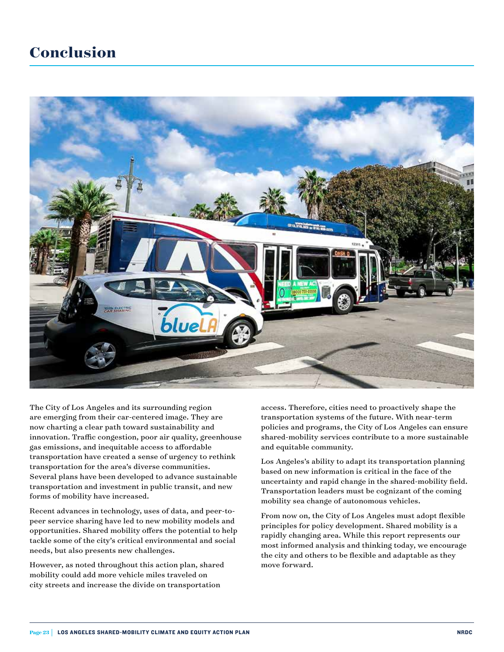## **Conclusion**



The City of Los Angeles and its surrounding region are emerging from their car-centered image. They are now charting a clear path toward sustainability and innovation. Traffic congestion, poor air quality, greenhouse gas emissions, and inequitable access to affordable transportation have created a sense of urgency to rethink transportation for the area's diverse communities. Several plans have been developed to advance sustainable transportation and investment in public transit, and new forms of mobility have increased.

Recent advances in technology, uses of data, and peer-topeer service sharing have led to new mobility models and opportunities. Shared mobility offers the potential to help tackle some of the city's critical environmental and social needs, but also presents new challenges.

However, as noted throughout this action plan, shared mobility could add more vehicle miles traveled on city streets and increase the divide on transportation

access. Therefore, cities need to proactively shape the transportation systems of the future. With near-term policies and programs, the City of Los Angeles can ensure shared-mobility services contribute to a more sustainable and equitable community.

Los Angeles's ability to adapt its transportation planning based on new information is critical in the face of the uncertainty and rapid change in the shared-mobility field. Transportation leaders must be cognizant of the coming mobility sea change of autonomous vehicles.

From now on, the City of Los Angeles must adopt flexible principles for policy development. Shared mobility is a rapidly changing area. While this report represents our most informed analysis and thinking today, we encourage the city and others to be flexible and adaptable as they move forward.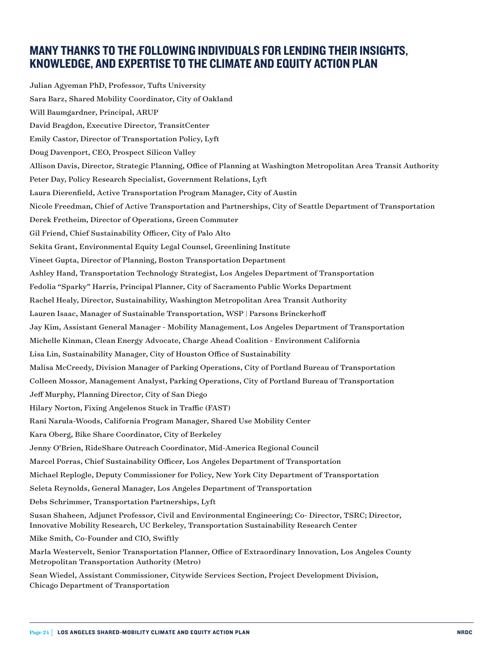## MANY THANKS TO THE FOLLOWING INDIVIDUALS FOR LENDING THEIR INSIGHTS, KNOWLEDGE, AND EXPERTISE TO THE CLIMATE AND EQUITY ACTION PLAN

Julian Agyeman PhD, Professor, Tufts University Sara Barz, Shared Mobility Coordinator, City of Oakland Will Baumgardner, Principal, ARUP David Bragdon, Executive Director, TransitCenter Emily Castor, Director of Transportation Policy, Lyft Doug Davenport, CEO, Prospect Silicon Valley Allison Davis, Director, Strategic Planning, Office of Planning at Washington Metropolitan Area Transit Authority Peter Day, Policy Research Specialist, Government Relations, Lyft Laura Dierenfield, Active Transportation Program Manager, City of Austin Nicole Freedman, Chief of Active Transportation and Partnerships, City of Seattle Department of Transportation Derek Fretheim, Director of Operations, Green Commuter Gil Friend, Chief Sustainability Officer, City of Palo Alto Sekita Grant, Environmental Equity Legal Counsel, Greenlining Institute Vineet Gupta, Director of Planning, Boston Transportation Department Ashley Hand, Transportation Technology Strategist, Los Angeles Department of Transportation Fedolia "Sparky" Harris, Principal Planner, City of Sacramento Public Works Department Rachel Healy, Director, Sustainability, Washington Metropolitan Area Transit Authority Lauren Isaac, Manager of Sustainable Transportation, WSP | Parsons Brinckerhoff Jay Kim, Assistant General Manager - Mobility Management, Los Angeles Department of Transportation Michelle Kinman, Clean Energy Advocate, Charge Ahead Coalition - Environment California Lisa Lin, Sustainability Manager, City of Houston Office of Sustainability Malisa McCreedy, Division Manager of Parking Operations, City of Portland Bureau of Transportation Colleen Mossor, Management Analyst, Parking Operations, City of Portland Bureau of Transportation Jeff Murphy, Planning Director, City of San Diego Hilary Norton, Fixing Angelenos Stuck in Traffic (FAST) Rani Narula-Woods, California Program Manager, Shared Use Mobility Center Kara Oberg, Bike Share Coordinator, City of Berkeley Jenny O'Brien, RideShare Outreach Coordinator, Mid-America Regional Council Marcel Porras, Chief Sustainability Officer, Los Angeles Department of Transportation Michael Replogle, Deputy Commissioner for Policy, New York City Department of Transportation Seleta Reynolds, General Manager, Los Angeles Department of Transportation Debs Schrimmer, Transportation Partnerships, Lyft Susan Shaheen, Adjunct Professor, Civil and Environmental Engineering; Co- Director, TSRC; Director, Innovative Mobility Research, UC Berkeley, Transportation Sustainability Research Center Mike Smith, Co-Founder and CIO, Swiftly Marla Westervelt, Senior Transportation Planner, Office of Extraordinary Innovation, Los Angeles County Metropolitan Transportation Authority (Metro)

Sean Wiedel, Assistant Commissioner, Citywide Services Section, Project Development Division, Chicago Department of Transportation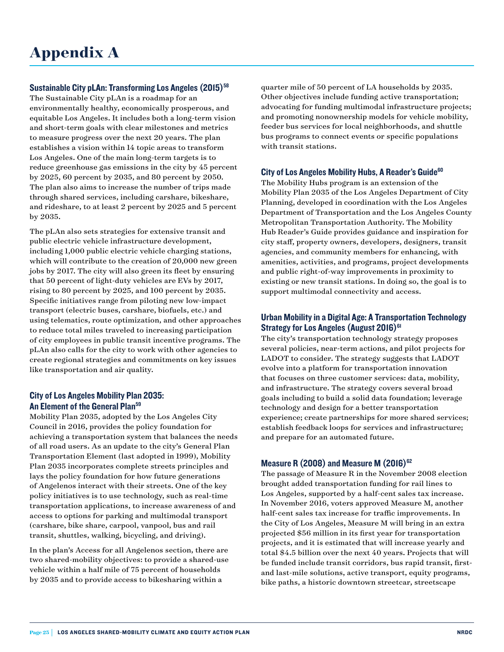#### Sustainable City pLAn: Transforming Los Angeles (2015)<sup>58</sup>

The Sustainable City pLAn is a roadmap for an environmentally healthy, economically prosperous, and equitable Los Angeles. It includes both a long-term vision and short-term goals with clear milestones and metrics to measure progress over the next 20 years. The plan establishes a vision within 14 topic areas to transform Los Angeles. One of the main long-term targets is to reduce greenhouse gas emissions in the city by 45 percent by 2025, 60 percent by 2035, and 80 percent by 2050. The plan also aims to increase the number of trips made through shared services, including carshare, bikeshare, and rideshare, to at least 2 percent by 2025 and 5 percent by 2035.

The pLAn also sets strategies for extensive transit and public electric vehicle infrastructure development, including 1,000 public electric vehicle charging stations, which will contribute to the creation of 20,000 new green jobs by 2017. The city will also green its fleet by ensuring that 50 percent of light-duty vehicles are EVs by 2017, rising to 80 percent by 2025, and 100 percent by 2035. Specific initiatives range from piloting new low-impact transport (electric buses, carshare, biofuels, etc.) and using telematics, route optimization, and other approaches to reduce total miles traveled to increasing participation of city employees in public transit incentive programs. The pLAn also calls for the city to work with other agencies to create regional strategies and commitments on key issues like transportation and air quality.

#### City of Los Angeles Mobility Plan 2035: An Element of the General Plan<sup>59</sup>

Mobility Plan 2035, adopted by the Los Angeles City Council in 2016, provides the policy foundation for achieving a transportation system that balances the needs of all road users. As an update to the city's General Plan Transportation Element (last adopted in 1999), Mobility Plan 2035 incorporates complete streets principles and lays the policy foundation for how future generations of Angelenos interact with their streets. One of the key policy initiatives is to use technology, such as real-time transportation applications, to increase awareness of and access to options for parking and multimodal transport (carshare, bike share, carpool, vanpool, bus and rail transit, shuttles, walking, bicycling, and driving).

In the plan's Access for all Angelenos section, there are two shared-mobility objectives: to provide a shared-use vehicle within a half mile of 75 percent of households by 2035 and to provide access to bikesharing within a

quarter mile of 50 percent of LA households by 2035. Other objectives include funding active transportation; advocating for funding multimodal infrastructure projects; and promoting nonownership models for vehicle mobility, feeder bus services for local neighborhoods, and shuttle bus programs to connect events or specific populations with transit stations.

#### City of Los Angeles Mobility Hubs, A Reader's Guide<sup>60</sup>

The Mobility Hubs program is an extension of the Mobility Plan 2035 of the Los Angeles Department of City Planning, developed in coordination with the Los Angeles Department of Transportation and the Los Angeles County Metropolitan Transportation Authority. The Mobility Hub Reader's Guide provides guidance and inspiration for city staff, property owners, developers, designers, transit agencies, and community members for enhancing, with amenities, activities, and programs, project developments and public right-of-way improvements in proximity to existing or new transit stations. In doing so, the goal is to support multimodal connectivity and access.

#### Urban Mobility in a Digital Age: A Transportation Technology Strategy for Los Angeles (August 2016)<sup>61</sup>

The city's transportation technology strategy proposes several policies, near-term actions, and pilot projects for LADOT to consider. The strategy suggests that LADOT evolve into a platform for transportation innovation that focuses on three customer services: data, mobility, and infrastructure. The strategy covers several broad goals including to build a solid data foundation; leverage technology and design for a better transportation experience; create partnerships for more shared services; establish feedback loops for services and infrastructure; and prepare for an automated future.

#### Measure R (2008) and Measure M  $(2016)^{62}$

The passage of Measure R in the November 2008 election brought added transportation funding for rail lines to Los Angeles, supported by a half-cent sales tax increase. In November 2016, voters approved Measure M, another half-cent sales tax increase for traffic improvements. In the City of Los Angeles, Measure M will bring in an extra projected \$56 million in its first year for transportation projects, and it is estimated that will increase yearly and total \$4.5 billion over the next 40 years. Projects that will be funded include transit corridors, bus rapid transit, firstand last-mile solutions, active transport, equity programs, bike paths, a historic downtown streetcar, streetscape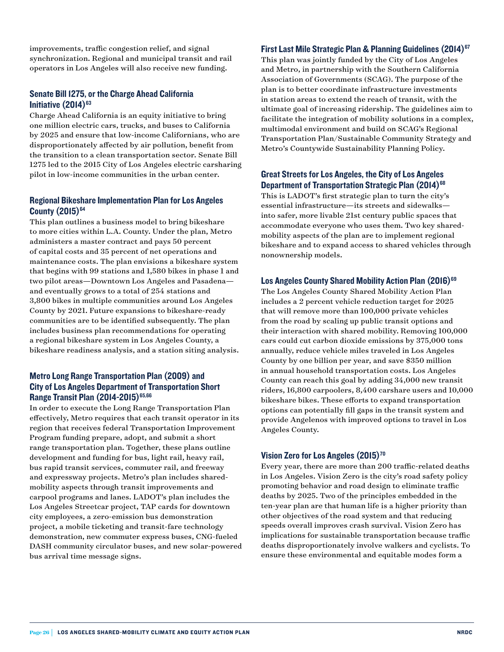improvements, traffic congestion relief, and signal synchronization. Regional and municipal transit and rail operators in Los Angeles will also receive new funding.

#### Senate Bill 1275, or the Charge Ahead California Initiative  $(2014)^{63}$

Charge Ahead California is an equity initiative to bring one million electric cars, trucks, and buses to California by 2025 and ensure that low-income Californians, who are disproportionately affected by air pollution, benefit from the transition to a clean transportation sector. Senate Bill 1275 led to the 2015 City of Los Angeles electric carsharing pilot in low-income communities in the urban center.

#### Regional Bikeshare Implementation Plan for Los Angeles County  $(2015)^{64}$

This plan outlines a business model to bring bikeshare to more cities within L.A. County. Under the plan, Metro administers a master contract and pays 50 percent of capital costs and 35 percent of net operations and maintenance costs. The plan envisions a bikeshare system that begins with 99 stations and 1,580 bikes in phase 1 and two pilot areas—Downtown Los Angeles and Pasadena and eventually grows to a total of 254 stations and 3,800 bikes in multiple communities around Los Angeles County by 2021. Future expansions to bikeshare-ready communities are to be identified subsequently. The plan includes business plan recommendations for operating a regional bikeshare system in Los Angeles County, a bikeshare readiness analysis, and a station siting analysis.

#### Metro Long Range Transportation Plan (2009) and City of Los Angeles Department of Transportation Short Range Transit Plan (2014-2015)<sup>65,66</sup>

In order to execute the Long Range Transportation Plan effectively, Metro requires that each transit operator in its region that receives federal Transportation Improvement Program funding prepare, adopt, and submit a short range transportation plan. Together, these plans outline development and funding for bus, light rail, heavy rail, bus rapid transit services, commuter rail, and freeway and expressway projects. Metro's plan includes sharedmobility aspects through transit improvements and carpool programs and lanes. LADOT's plan includes the Los Angeles Streetcar project, TAP cards for downtown city employees, a zero-emission bus demonstration project, a mobile ticketing and transit-fare technology demonstration, new commuter express buses, CNG-fueled DASH community circulator buses, and new solar-powered bus arrival time message signs.

#### First Last Mile Strategic Plan & Planning Guidelines (2014)<sup>67</sup>

This plan was jointly funded by the City of Los Angeles and Metro, in partnership with the Southern California Association of Governments (SCAG). The purpose of the plan is to better coordinate infrastructure investments in station areas to extend the reach of transit, with the ultimate goal of increasing ridership. The guidelines aim to facilitate the integration of mobility solutions in a complex, multimodal environment and build on SCAG's Regional Transportation Plan/Sustainable Community Strategy and Metro's Countywide Sustainability Planning Policy.

#### Great Streets for Los Angeles, the City of Los Angeles Department of Transportation Strategic Plan (2014)<sup>68</sup>

This is LADOT's first strategic plan to turn the city's essential infrastructure—its streets and sidewalks into safer, more livable 21st century public spaces that accommodate everyone who uses them. Two key sharedmobility aspects of the plan are to implement regional bikeshare and to expand access to shared vehicles through nonownership models.

#### Los Angeles County Shared Mobility Action Plan (2016)<sup>69</sup>

The Los Angeles County Shared Mobility Action Plan includes a 2 percent vehicle reduction target for 2025 that will remove more than 100,000 private vehicles from the road by scaling up public transit options and their interaction with shared mobility. Removing 100,000 cars could cut carbon dioxide emissions by 375,000 tons annually, reduce vehicle miles traveled in Los Angeles County by one billion per year, and save \$350 million in annual household transportation costs. Los Angeles County can reach this goal by adding 34,000 new transit riders, 16,800 carpoolers, 8,400 carshare users and 10,000 bikeshare bikes. These efforts to expand transportation options can potentially fill gaps in the transit system and provide Angelenos with improved options to travel in Los Angeles County.

#### Vision Zero for Los Angeles (2015)<sup>70</sup>

Every year, there are more than 200 traffic-related deaths in Los Angeles. Vision Zero is the city's road safety policy promoting behavior and road design to eliminate traffic deaths by 2025. Two of the principles embedded in the ten-year plan are that human life is a higher priority than other objectives of the road system and that reducing speeds overall improves crash survival. Vision Zero has implications for sustainable transportation because traffic deaths disproportionately involve walkers and cyclists. To ensure these environmental and equitable modes form a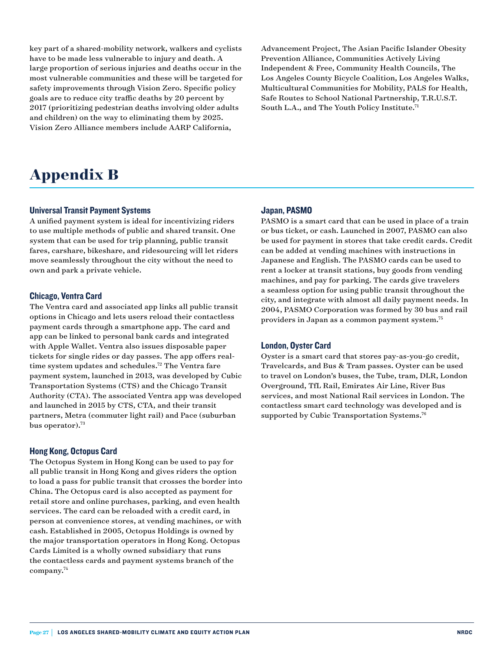key part of a shared-mobility network, walkers and cyclists have to be made less vulnerable to injury and death. A large proportion of serious injuries and deaths occur in the most vulnerable communities and these will be targeted for safety improvements through Vision Zero. Specific policy goals are to reduce city traffic deaths by 20 percent by 2017 (prioritizing pedestrian deaths involving older adults and children) on the way to eliminating them by 2025. Vision Zero Alliance members include AARP California,

Advancement Project, The Asian Pacific Islander Obesity Prevention Alliance, Communities Actively Living Independent & Free, Community Health Councils, The Los Angeles County Bicycle Coalition, Los Angeles Walks, Multicultural Communities for Mobility, PALS for Health, Safe Routes to School National Partnership, T.R.U.S.T. South L.A., and The Youth Policy Institute.<sup>71</sup>

## **Appendix B**

#### Universal Transit Payment Systems

A unified payment system is ideal for incentivizing riders to use multiple methods of public and shared transit. One system that can be used for trip planning, public transit fares, carshare, bikeshare, and ridesourcing will let riders move seamlessly throughout the city without the need to own and park a private vehicle.

#### Chicago, Ventra Card

The Ventra card and associated app links all public transit options in Chicago and lets users reload their contactless payment cards through a smartphone app. The card and app can be linked to personal bank cards and integrated with Apple Wallet. Ventra also issues disposable paper tickets for single rides or day passes. The app offers realtime system updates and schedules.<sup>72</sup> The Ventra fare payment system, launched in 2013, was developed by Cubic Transportation Systems (CTS) and the Chicago Transit Authority (CTA). The associated Ventra app was developed and launched in 2015 by CTS, CTA, and their transit partners, Metra (commuter light rail) and Pace (suburban bus operator).<sup>73</sup>

#### Hong Kong, Octopus Card

The Octopus System in Hong Kong can be used to pay for all public transit in Hong Kong and gives riders the option to load a pass for public transit that crosses the border into China. The Octopus card is also accepted as payment for retail store and online purchases, parking, and even health services. The card can be reloaded with a credit card, in person at convenience stores, at vending machines, or with cash. Established in 2005, Octopus Holdings is owned by the major transportation operators in Hong Kong. Octopus Cards Limited is a wholly owned subsidiary that runs the contactless cards and payment systems branch of the company.74

#### Japan, PASMO

PASMO is a smart card that can be used in place of a train or bus ticket, or cash. Launched in 2007, PASMO can also be used for payment in stores that take credit cards. Credit can be added at vending machines with instructions in Japanese and English. The PASMO cards can be used to rent a locker at transit stations, buy goods from vending machines, and pay for parking. The cards give travelers a seamless option for using public transit throughout the city, and integrate with almost all daily payment needs. In 2004, PASMO Corporation was formed by 30 bus and rail providers in Japan as a common payment system.75

#### London, Oyster Card

Oyster is a smart card that stores pay-as-you-go credit, Travelcards, and Bus & Tram passes. Oyster can be used to travel on London's buses, the Tube, tram, DLR, London Overground, TfL Rail, Emirates Air Line, River Bus services, and most National Rail services in London. The contactless smart card technology was developed and is supported by Cubic Transportation Systems.<sup>76</sup>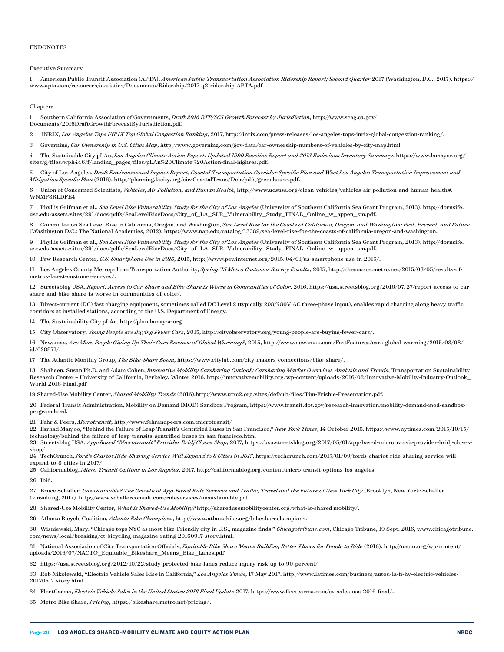#### ENDONOTES

#### Executive Summary

1 American Public Transit Association (APTA), *American Public Transportation Association Ridership Report; Second Quarter* 2017 (Washington, D.C., 2017). https:// www.apta.com/resources/statistics/Documents/Ridership/2017-q2-ridership-APTA.pdf

#### **Chapters**

1 Southern California Association of Governments, *Draft 2016 RTP/SCS Growth Forecast by Jurisdiction,* http://www.scag.ca.gov/ Documents/2016DraftGrowthForecastByJurisdiction.pdf.

2 INRIX, *Los Angeles Tops INRIX Top Global Congestion Ranking*, 2017, http://inrix.com/press-releases/los-angeles-tops-inrix-global-congestion-ranking/.

3 Governing, *Car Ownership in U.S. Cities Map*, http://www.governing.com/gov-data/car-ownership-numbers-of-vehicles-by-city-map.html.

4 The Sustainable City pLAn, *Los Angeles Climate Action Report: Updated 1990 Baseline Report and 2013 Emissions Inventory Summary*. https://www.lamayor.org/ sites/g/files/wph446/f/landing\_pages/files/pLAn%20Climate%20Action-final-highres.pdf.

5 City of Los Angeles, *Draft Environmental Impact Report, Coastal Transportation Corridor Specific Plan and West Los Angeles Transportation Improvement and Mitigation Specific Plan* (2016). http://planning.lacity.org/eir/CoastalTrans/Deir/pdfs/greenhouse.pdf.

6 Union of Concerned Scientists, *Vehicles, Air Pollution, and Human Health*, http://www.ucsusa.org/clean-vehicles/vehicles-air-pollution-and-human-health#. WNMP8RLDFE4.

7 Phyllis Grifman et al., *Sea Level Rise Vulnerability Study for the City of Los Angeles* (University of Southern California Sea Grant Program, 2013). http://dornsife. usc.edu/assets/sites/291/docs/pdfs/SeaLevelRiseDocs/City\_of\_LA\_SLR\_Vulnerability\_Study\_FINAL\_Online\_w\_appen\_sm.pdf.

8 Committee on Sea Level Rise in California, Oregon, and Washington, *Sea-Level Rise for the Coasts of California, Oregon, and Washington: Past, Present, and Future* (Washington D.C.: The National Academies, 2012). https://www.nap.edu/catalog/13389/sea-level-rise-for-the-coasts-of-california-oregon-and-washington.

9 Phyllis Grifman et al., *Sea Level Rise Vulnerability Study for the City of Los Angeles* (University of Southern California Sea Grant Program, 2013). http://dornsife. usc.edu/assets/sites/291/docs/pdfs/SeaLevelRiseDocs/City\_of\_LA\_SLR\_Vulnerability\_Study\_FINAL\_Online\_w\_appen\_sm.pdf.

10 Pew Research Center, *U.S. Smartphone Use in 2015*, 2015, http://www.pewinternet.org/2015/04/01/us-smartphone-use-in-2015/.

11 Los Angeles County Metropolitan Transportation Authority, *Spring '15 Metro Customer Survey Results*, 2015, http://thesource.metro.net/2015/08/05/results-ofmetros-latest-customer-survey/.

12 Streetsblog USA, *Report: Access to Car-Share and Bike-Share Is Worse in Communities of Color*, 2016, https://usa.streetsblog.org/2016/07/27/report-access-to-carshare-and-bike-share-is-worse-in-communities-of-color/.

13 Direct-current (DC) fast charging equipment, sometimes called DC Level 2 (typically 208/480V AC three-phase input), enables rapid charging along heavy traffic corridors at installed stations, according to the U.S. Department of Energy.

14 The Sustainability City pLAn, [http://plan.lamayor.org.](http://plan.lamayor.org)

15 City Observatory, *Young People are Buying Fewer Cars*, 2015, http://cityobservatory.org/young-people-are-buying-fewer-cars/.

16 Newsmax, *Are More People Giving Up Their Cars Because of Global Warming?*, 2015, http://www.newsmax.com/FastFeatures/cars-global-warming/2015/03/08/ id/628871/.

17 The Atlantic Monthly Group, *The Bike-Share Boom*,<https://www.citylab.com/city-makers-connections/bike-share/>.

18 Shaheen, Susan Ph.D. and Adam Cohen, *Innovative Mobility Carsharing Outlook: Carsharing Market Overview, Analysis and Trends*, Transportation Sustainability Research Center – University of California, Berkeley. Winter 2016. http://innovativemobility.org/wp-content/uploads/2016/02/Innovative-Mobility-Industry-Outlook\_ World-2016-Final.pdf

19 Shared-Use Mobility Center, *Shared Mobility Trends* (2016).http://www.utrc2.org/sites/default/files/Tim-Frisbie-Presentation.pdf.

20 Federal Transit Administration, Mobility on Demand (MOD) Sandbox Program, https://www.transit.dot.gov/research-innovation/mobility-demand-mod-sandboxprogram.html.

21 Fehr & Peers, *Microtransit*, http://www.fehrandpeers.com/microtransit/

22 Farhad Manjoo, "Behind the Failure of Leap Transit's Gentrified Buses in San Francisco," *New York Times*, 14 October 2015. https://www.nytimes.com/2015/10/15/ technology/behind-the-failure-of-leap-transits-gentrified-buses-in-san-francisco.html

23 Streetsblog USA, *App-Based "Microtransit" Provider Bridj Closes Shop*, 2017, https://usa.streetsblog.org/2017/05/01/app-based-microtransit-provider-bridj-closesshop/

24 TechCrunch, *Ford's Chariot Ride-Sharing Service Will Expand to 8 Cities in 2017*, [https://techcrunch.com/2017/01/09/fords-chariot-ride-sharing-service-will](https://techcrunch.com/2017/01/09/fords-chariot-ride-sharing-service-will-expand-to-8-cities-in-2017/)[expand-to-8-cities-in-2017/](https://techcrunch.com/2017/01/09/fords-chariot-ride-sharing-service-will-expand-to-8-cities-in-2017/)

25 Californiablog, *Micro-Transit Options in Los Angeles*, 2017, [http://californiablog.org/content/micro-transit-options-los-angeles.](http://californiablog.org/content/micro-transit-options-los-angeles)

26 Ibid.

27 Bruce Schaller, *Unsustainable? The Growth of App-Based Ride Services and Traffic, Travel and the Future of New York City* (Brooklyn, New York: Schaller Consulting, 2017). http://www.schallerconsult.com/rideservices/unsustainable.pdf.

28 Shared-Use Mobility Center, *What Is Shared-Use Mobility?* http://sharedusemobilitycenter.org/what-is-shared mobility/.

29 Atlanta Bicycle Coalition, *Atlanta Bike Champions*, http://www.atlantabike.org/bikesharechampions.

30 Wisniewski, Mary. "Chicago tops NYC as most bike-Friendly city in U.S., magazine finds." *Chicagotribune.com*, Chicago Tribune, 19 Sept. 2016, www.chicagotribune. com/news/local/breaking/ct-bicycling-magazine-rating-20160917-story.html.

31 National Association of City Transportation Officials, *Equitable Bike Share Means Building Better Places for People to Ride* (2016). [http://nacto.org/wp-content/](http://nacto.org/wp-content/uploads/2016/07/NACTO_Equitable_Bikeshare_Means_Bike_Lanes.pdf) [uploads/2016/07/NACTO\\_Equitable\\_Bikeshare\\_Means\\_Bike\\_Lanes.pdf.](http://nacto.org/wp-content/uploads/2016/07/NACTO_Equitable_Bikeshare_Means_Bike_Lanes.pdf)

32 https://usa.streetsblog.org/2012/10/22/study-protected-bike-lanes-reduce-injury-risk-up-to-90-percent/

33 Rob Nikolewski, "Electric Vehicle Sales Rise in California," *Los Angeles Times*, 17 May 2017. http://www.latimes.com/business/autos/la-fi-hy-electric-vehicles-20170517-story.html.

34 FleetCarma, *Electric Vehicle Sales in the United States: 2016 Final Update*,2017, [https://www.fleetcarma.com/ev-sales-usa-2016-final/.](https://www.fleetcarma.com/ev-sales-usa-2016-final/)

35 Metro Bike Share, *Pricing*, https://bikeshare.metro.net/pricing/.